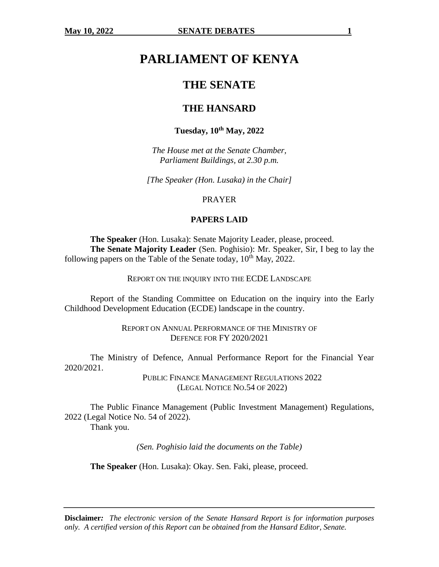# **PARLIAMENT OF KENYA**

## **THE SENATE**

## **THE HANSARD**

## **Tuesday, 10th May, 2022**

*The House met at the Senate Chamber, Parliament Buildings, at 2.30 p.m.*

*[The Speaker (Hon. Lusaka) in the Chair]*

PRAYER

#### **PAPERS LAID**

**The Speaker** (Hon. Lusaka): Senate Majority Leader, please, proceed. **The Senate Majority Leader** (Sen. Poghisio): Mr. Speaker, Sir, I beg to lay the following papers on the Table of the Senate today,  $10^{th}$  May, 2022.

REPORT ON THE INQUIRY INTO THE ECDE LANDSCAPE

Report of the Standing Committee on Education on the inquiry into the Early Childhood Development Education (ECDE) landscape in the country.

> REPORT ON ANNUAL PERFORMANCE OF THE MINISTRY OF DEFENCE FOR FY 2020/2021

The Ministry of Defence, Annual Performance Report for the Financial Year 2020/2021.

> PUBLIC FINANCE MANAGEMENT REGULATIONS 2022 (LEGAL NOTICE NO.54 OF 2022)

The Public Finance Management (Public Investment Management) Regulations, 2022 (Legal Notice No. 54 of 2022). Thank you.

*(Sen. Poghisio laid the documents on the Table)*

**The Speaker** (Hon. Lusaka): Okay. Sen. Faki, please, proceed.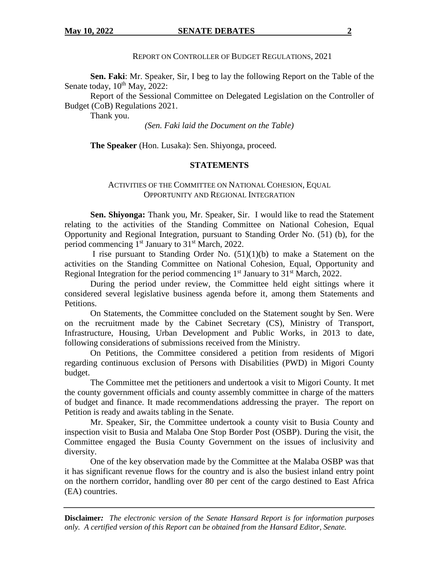REPORT ON CONTROLLER OF BUDGET REGULATIONS, 2021

**Sen. Faki**: Mr. Speaker, Sir, I beg to lay the following Report on the Table of the Senate today,  $10^{th}$  May,  $2022$ :

Report of the Sessional Committee on Delegated Legislation on the Controller of Budget (CoB) Regulations 2021.

Thank you.

*(Sen. Faki laid the Document on the Table)*

**The Speaker** (Hon. Lusaka): Sen. Shiyonga, proceed.

## **STATEMENTS**

### ACTIVITIES OF THE COMMITTEE ON NATIONAL COHESION, EQUAL OPPORTUNITY AND REGIONAL INTEGRATION

**Sen. Shiyonga:** Thank you, Mr. Speaker, Sir. I would like to read the Statement relating to the activities of the Standing Committee on National Cohesion, Equal Opportunity and Regional Integration, pursuant to Standing Order No. (51) (b), for the period commencing 1<sup>st</sup> January to 31<sup>st</sup> March, 2022.

I rise pursuant to Standing Order No. (51)(1)(b) to make a Statement on the activities on the Standing Committee on National Cohesion, Equal, Opportunity and Regional Integration for the period commencing  $1<sup>st</sup>$  January to  $31<sup>st</sup>$  March, 2022.

During the period under review, the Committee held eight sittings where it considered several legislative business agenda before it, among them Statements and Petitions.

On Statements, the Committee concluded on the Statement sought by Sen. Were on the recruitment made by the Cabinet Secretary (CS), Ministry of Transport, Infrastructure, Housing, Urban Development and Public Works, in 2013 to date, following considerations of submissions received from the Ministry.

On Petitions, the Committee considered a petition from residents of Migori regarding continuous exclusion of Persons with Disabilities (PWD) in Migori County budget.

The Committee met the petitioners and undertook a visit to Migori County. It met the county government officials and county assembly committee in charge of the matters of budget and finance. It made recommendations addressing the prayer. The report on Petition is ready and awaits tabling in the Senate.

Mr. Speaker, Sir, the Committee undertook a county visit to Busia County and inspection visit to Busia and Malaba One Stop Border Post (OSBP). During the visit, the Committee engaged the Busia County Government on the issues of inclusivity and diversity.

One of the key observation made by the Committee at the Malaba OSBP was that it has significant revenue flows for the country and is also the busiest inland entry point on the northern corridor, handling over 80 per cent of the cargo destined to East Africa (EA) countries.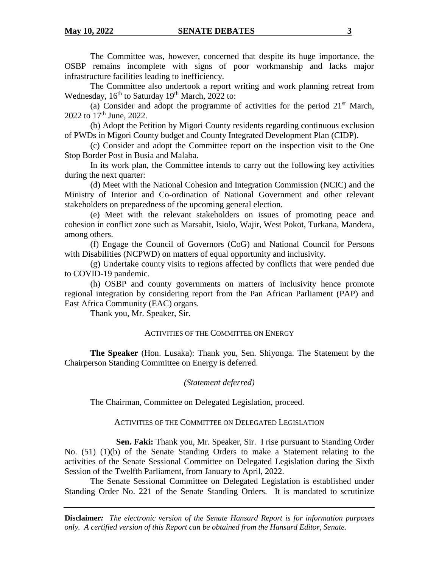The Committee was, however, concerned that despite its huge importance, the OSBP remains incomplete with signs of poor workmanship and lacks major infrastructure facilities leading to inefficiency.

The Committee also undertook a report writing and work planning retreat from Wednesday,  $16<sup>th</sup>$  to Saturday  $19<sup>th</sup>$  March, 2022 to:

(a) Consider and adopt the programme of activities for the period  $21<sup>st</sup>$  March, 2022 to  $17^{th}$  June, 2022.

(b) Adopt the Petition by Migori County residents regarding continuous exclusion of PWDs in Migori County budget and County Integrated Development Plan (CIDP).

(c) Consider and adopt the Committee report on the inspection visit to the One Stop Border Post in Busia and Malaba.

In its work plan, the Committee intends to carry out the following key activities during the next quarter:

(d) Meet with the National Cohesion and Integration Commission (NCIC) and the Ministry of Interior and Co-ordination of National Government and other relevant stakeholders on preparedness of the upcoming general election.

(e) Meet with the relevant stakeholders on issues of promoting peace and cohesion in conflict zone such as Marsabit, Isiolo, Wajir, West Pokot, Turkana, Mandera, among others.

(f) Engage the Council of Governors (CoG) and National Council for Persons with Disabilities (NCPWD) on matters of equal opportunity and inclusivity.

(g) Undertake county visits to regions affected by conflicts that were pended due to COVID-19 pandemic.

(h) OSBP and county governments on matters of inclusivity hence promote regional integration by considering report from the Pan African Parliament (PAP) and East Africa Community (EAC) organs.

Thank you, Mr. Speaker, Sir.

### ACTIVITIES OF THE COMMITTEE ON ENERGY

**The Speaker** (Hon. Lusaka): Thank you, Sen. Shiyonga. The Statement by the Chairperson Standing Committee on Energy is deferred.

## *(Statement deferred)*

The Chairman, Committee on Delegated Legislation, proceed.

#### ACTIVITIES OF THE COMMITTEE ON DELEGATED LEGISLATION

**Sen. Faki:** Thank you, Mr. Speaker, Sir. I rise pursuant to Standing Order No. (51) (1)(b) of the Senate Standing Orders to make a Statement relating to the activities of the Senate Sessional Committee on Delegated Legislation during the Sixth Session of the Twelfth Parliament, from January to April, 2022.

The Senate Sessional Committee on Delegated Legislation is established under Standing Order No. 221 of the Senate Standing Orders. It is mandated to scrutinize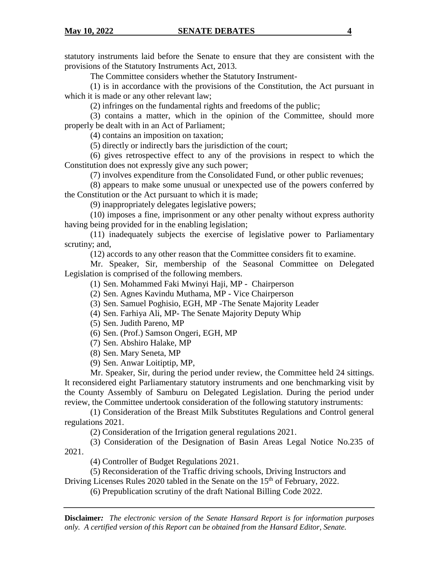statutory instruments laid before the Senate to ensure that they are consistent with the provisions of the Statutory Instruments Act, 2013.

The Committee considers whether the Statutory Instrument-

(1) is in accordance with the provisions of the Constitution, the Act pursuant in which it is made or any other relevant law;

(2) infringes on the fundamental rights and freedoms of the public;

(3) contains a matter, which in the opinion of the Committee, should more properly be dealt with in an Act of Parliament;

(4) contains an imposition on taxation;

(5) directly or indirectly bars the jurisdiction of the court;

(6) gives retrospective effect to any of the provisions in respect to which the Constitution does not expressly give any such power;

(7) involves expenditure from the Consolidated Fund, or other public revenues;

(8) appears to make some unusual or unexpected use of the powers conferred by the Constitution or the Act pursuant to which it is made;

(9) inappropriately delegates legislative powers;

(10) imposes a fine, imprisonment or any other penalty without express authority having being provided for in the enabling legislation;

(11) inadequately subjects the exercise of legislative power to Parliamentary scrutiny; and,

(12) accords to any other reason that the Committee considers fit to examine.

Mr. Speaker, Sir, membership of the Seasonal Committee on Delegated Legislation is comprised of the following members.

(1) Sen. Mohammed Faki Mwinyi Haji, MP - Chairperson

(2) Sen. Agnes Kavindu Muthama, MP - Vice Chairperson

(3) Sen. Samuel Poghisio, EGH, MP -The Senate Majority Leader

- (4) Sen. Farhiya Ali, MP- The Senate Majority Deputy Whip
- (5) Sen. Judith Pareno, MP
- (6) Sen. (Prof.) Samson Ongeri, EGH, MP
- (7) Sen. Abshiro Halake, MP
- (8) Sen. Mary Seneta, MP
- (9) Sen. Anwar Loitiptip, MP,

Mr. Speaker, Sir, during the period under review, the Committee held 24 sittings. It reconsidered eight Parliamentary statutory instruments and one benchmarking visit by the County Assembly of Samburu on Delegated Legislation. During the period under review, the Committee undertook consideration of the following statutory instruments:

(1) Consideration of the Breast Milk Substitutes Regulations and Control general regulations 2021.

(2) Consideration of the Irrigation general regulations 2021.

(3) Consideration of the Designation of Basin Areas Legal Notice No.235 of 2021.

(4) Controller of Budget Regulations 2021.

(5) Reconsideration of the Traffic driving schools, Driving Instructors and

Driving Licenses Rules 2020 tabled in the Senate on the  $15<sup>th</sup>$  of February, 2022.

(6) Prepublication scrutiny of the draft National Billing Code 2022.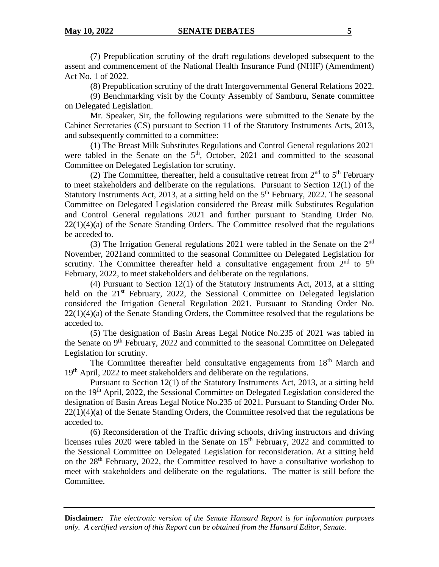#### **May 10, 2022 SENATE DEBATES** 5

(7) Prepublication scrutiny of the draft regulations developed subsequent to the assent and commencement of the National Health Insurance Fund (NHIF) (Amendment) Act No. 1 of 2022.

(8) Prepublication scrutiny of the draft Intergovernmental General Relations 2022.

(9) Benchmarking visit by the County Assembly of Samburu, Senate committee on Delegated Legislation.

Mr. Speaker, Sir, the following regulations were submitted to the Senate by the Cabinet Secretaries (CS) pursuant to Section 11 of the Statutory Instruments Acts, 2013, and subsequently committed to a committee:

(1) The Breast Milk Substitutes Regulations and Control General regulations 2021 were tabled in the Senate on the  $5<sup>th</sup>$ , October, 2021 and committed to the seasonal Committee on Delegated Legislation for scrutiny.

(2) The Committee, thereafter, held a consultative retreat from  $2<sup>nd</sup>$  to  $5<sup>th</sup>$  February to meet stakeholders and deliberate on the regulations. Pursuant to Section 12(1) of the Statutory Instruments Act, 2013, at a sitting held on the  $5<sup>th</sup>$  February, 2022. The seasonal Committee on Delegated Legislation considered the Breast milk Substitutes Regulation and Control General regulations 2021 and further pursuant to Standing Order No. 22(1)(4)(a) of the Senate Standing Orders. The Committee resolved that the regulations be acceded to.

(3) The Irrigation General regulations 2021 were tabled in the Senate on the 2nd November, 2021and committed to the seasonal Committee on Delegated Legislation for scrutiny. The Committee thereafter held a consultative engagement from  $2<sup>nd</sup>$  to  $5<sup>th</sup>$ February, 2022, to meet stakeholders and deliberate on the regulations.

(4) Pursuant to Section 12(1) of the Statutory Instruments Act, 2013, at a sitting held on the  $21<sup>st</sup>$  February, 2022, the Sessional Committee on Delegated legislation considered the Irrigation General Regulation 2021. Pursuant to Standing Order No.  $22(1)(4)(a)$  of the Senate Standing Orders, the Committee resolved that the regulations be acceded to.

(5) The designation of Basin Areas Legal Notice No.235 of 2021 was tabled in the Senate on 9<sup>th</sup> February, 2022 and committed to the seasonal Committee on Delegated Legislation for scrutiny.

The Committee thereafter held consultative engagements from 18<sup>th</sup> March and 19<sup>th</sup> April, 2022 to meet stakeholders and deliberate on the regulations.

Pursuant to Section 12(1) of the Statutory Instruments Act, 2013, at a sitting held on the  $19<sup>th</sup>$  April, 2022, the Sessional Committee on Delegated Legislation considered the designation of Basin Areas Legal Notice No.235 of 2021. Pursuant to Standing Order No.  $22(1)(4)(a)$  of the Senate Standing Orders, the Committee resolved that the regulations be acceded to.

(6) Reconsideration of the Traffic driving schools, driving instructors and driving licenses rules  $2020$  were tabled in the Senate on  $15<sup>th</sup>$  February,  $2022$  and committed to the Sessional Committee on Delegated Legislation for reconsideration. At a sitting held on the 28th February, 2022, the Committee resolved to have a consultative workshop to meet with stakeholders and deliberate on the regulations. The matter is still before the Committee.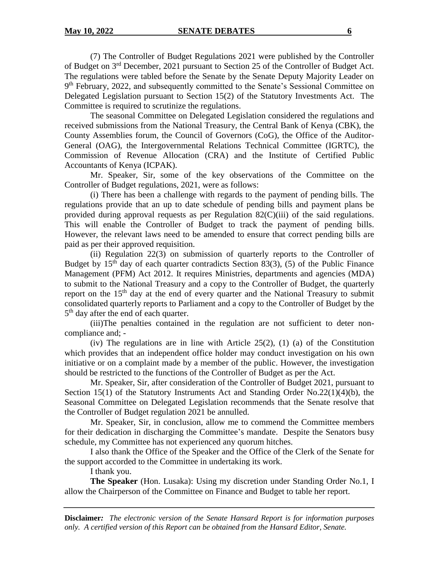(7) The Controller of Budget Regulations 2021 were published by the Controller of Budget on 3<sup>rd</sup> December, 2021 pursuant to Section 25 of the Controller of Budget Act. The regulations were tabled before the Senate by the Senate Deputy Majority Leader on 9<sup>th</sup> February, 2022, and subsequently committed to the Senate's Sessional Committee on Delegated Legislation pursuant to Section 15(2) of the Statutory Investments Act. The Committee is required to scrutinize the regulations.

The seasonal Committee on Delegated Legislation considered the regulations and received submissions from the National Treasury, the Central Bank of Kenya (CBK), the County Assemblies forum, the Council of Governors (CoG), the Office of the Auditor-General (OAG), the Intergovernmental Relations Technical Committee (IGRTC), the Commission of Revenue Allocation (CRA) and the Institute of Certified Public Accountants of Kenya (ICPAK).

Mr. Speaker, Sir, some of the key observations of the Committee on the Controller of Budget regulations, 2021, were as follows:

(i) There has been a challenge with regards to the payment of pending bills. The regulations provide that an up to date schedule of pending bills and payment plans be provided during approval requests as per Regulation 82(C)(iii) of the said regulations. This will enable the Controller of Budget to track the payment of pending bills. However, the relevant laws need to be amended to ensure that correct pending bills are paid as per their approved requisition.

(ii) Regulation 22(3) on submission of quarterly reports to the Controller of Budget by  $15<sup>th</sup>$  day of each quarter contradicts Section 83(3), (5) of the Public Finance Management (PFM) Act 2012. It requires Ministries, departments and agencies (MDA) to submit to the National Treasury and a copy to the Controller of Budget, the quarterly report on the  $15<sup>th</sup>$  day at the end of every quarter and the National Treasury to submit consolidated quarterly reports to Parliament and a copy to the Controller of Budget by the 5<sup>th</sup> day after the end of each quarter.

(iii)The penalties contained in the regulation are not sufficient to deter noncompliance and; -

(iv) The regulations are in line with Article 25(2), (1) (a) of the Constitution which provides that an independent office holder may conduct investigation on his own initiative or on a complaint made by a member of the public. However, the investigation should be restricted to the functions of the Controller of Budget as per the Act.

Mr. Speaker, Sir, after consideration of the Controller of Budget 2021, pursuant to Section 15(1) of the Statutory Instruments Act and Standing Order No.22(1)(4)(b), the Seasonal Committee on Delegated Legislation recommends that the Senate resolve that the Controller of Budget regulation 2021 be annulled.

Mr. Speaker, Sir, in conclusion, allow me to commend the Committee members for their dedication in discharging the Committee's mandate. Despite the Senators busy schedule, my Committee has not experienced any quorum hitches.

I also thank the Office of the Speaker and the Office of the Clerk of the Senate for the support accorded to the Committee in undertaking its work.

I thank you.

**The Speaker** (Hon. Lusaka): Using my discretion under Standing Order No.1, I allow the Chairperson of the Committee on Finance and Budget to table her report.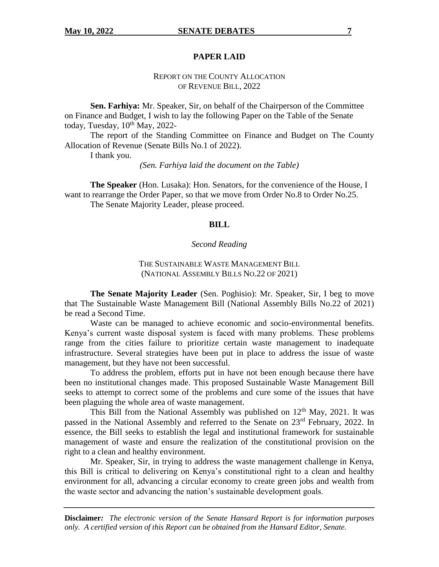#### **PAPER LAID**

## REPORT ON THE COUNTY ALLOCATION OF REVENUE BILL, 2022

**Sen. Farhiya:** Mr. Speaker, Sir, on behalf of the Chairperson of the Committee on Finance and Budget, I wish to lay the following Paper on the Table of the Senate today, Tuesday,  $10^{th}$  May, 2022-

The report of the Standing Committee on Finance and Budget on The County Allocation of Revenue (Senate Bills No.1 of 2022).

I thank you.

*(Sen. Farhiya laid the document on the Table)*

**The Speaker** (Hon. Lusaka): Hon. Senators, for the convenience of the House, I want to rearrange the Order Paper, so that we move from Order No.8 to Order No.25. The Senate Majority Leader, please proceed.

#### **BILL**

#### *Second Reading*

## THE SUSTAINABLE WASTE MANAGEMENT BILL (NATIONAL ASSEMBLY BILLS NO.22 OF 2021)

**The Senate Majority Leader** (Sen. Poghisio): Mr. Speaker, Sir, I beg to move that The Sustainable Waste Management Bill (National Assembly Bills No.22 of 2021) be read a Second Time.

Waste can be managed to achieve economic and socio-environmental benefits. Kenya's current waste disposal system is faced with many problems. These problems range from the cities failure to prioritize certain waste management to inadequate infrastructure. Several strategies have been put in place to address the issue of waste management, but they have not been successful.

To address the problem, efforts put in have not been enough because there have been no institutional changes made. This proposed Sustainable Waste Management Bill seeks to attempt to correct some of the problems and cure some of the issues that have been plaguing the whole area of waste management.

This Bill from the National Assembly was published on  $12<sup>th</sup>$  May, 2021. It was passed in the National Assembly and referred to the Senate on 23rd February, 2022. In essence, the Bill seeks to establish the legal and institutional framework for sustainable management of waste and ensure the realization of the constitutional provision on the right to a clean and healthy environment.

Mr. Speaker, Sir, in trying to address the waste management challenge in Kenya, this Bill is critical to delivering on Kenya's constitutional right to a clean and healthy environment for all, advancing a circular economy to create green jobs and wealth from the waste sector and advancing the nation's sustainable development goals.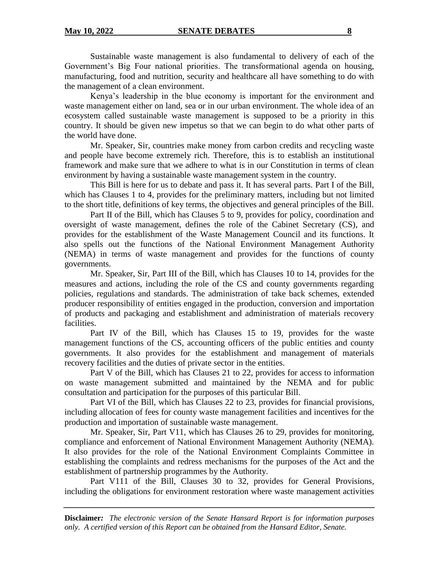Sustainable waste management is also fundamental to delivery of each of the Government's Big Four national priorities. The transformational agenda on housing, manufacturing, food and nutrition, security and healthcare all have something to do with the management of a clean environment.

Kenya's leadership in the blue economy is important for the environment and waste management either on land, sea or in our urban environment. The whole idea of an ecosystem called sustainable waste management is supposed to be a priority in this country. It should be given new impetus so that we can begin to do what other parts of the world have done.

Mr. Speaker, Sir, countries make money from carbon credits and recycling waste and people have become extremely rich. Therefore, this is to establish an institutional framework and make sure that we adhere to what is in our Constitution in terms of clean environment by having a sustainable waste management system in the country.

This Bill is here for us to debate and pass it. It has several parts. Part I of the Bill, which has Clauses 1 to 4, provides for the preliminary matters, including but not limited to the short title, definitions of key terms, the objectives and general principles of the Bill.

Part II of the Bill, which has Clauses 5 to 9, provides for policy, coordination and oversight of waste management, defines the role of the Cabinet Secretary (CS), and provides for the establishment of the Waste Management Council and its functions. It also spells out the functions of the National Environment Management Authority (NEMA) in terms of waste management and provides for the functions of county governments.

Mr. Speaker, Sir, Part III of the Bill, which has Clauses 10 to 14, provides for the measures and actions, including the role of the CS and county governments regarding policies, regulations and standards. The administration of take back schemes, extended producer responsibility of entities engaged in the production, conversion and importation of products and packaging and establishment and administration of materials recovery facilities.

Part IV of the Bill, which has Clauses 15 to 19, provides for the waste management functions of the CS, accounting officers of the public entities and county governments. It also provides for the establishment and management of materials recovery facilities and the duties of private sector in the entities.

Part V of the Bill, which has Clauses 21 to 22, provides for access to information on waste management submitted and maintained by the NEMA and for public consultation and participation for the purposes of this particular Bill.

Part VI of the Bill, which has Clauses 22 to 23, provides for financial provisions, including allocation of fees for county waste management facilities and incentives for the production and importation of sustainable waste management.

Mr. Speaker, Sir, Part V11, which has Clauses 26 to 29, provides for monitoring, compliance and enforcement of National Environment Management Authority (NEMA). It also provides for the role of the National Environment Complaints Committee in establishing the complaints and redress mechanisms for the purposes of the Act and the establishment of partnership programmes by the Authority.

Part V111 of the Bill, Clauses 30 to 32, provides for General Provisions, including the obligations for environment restoration where waste management activities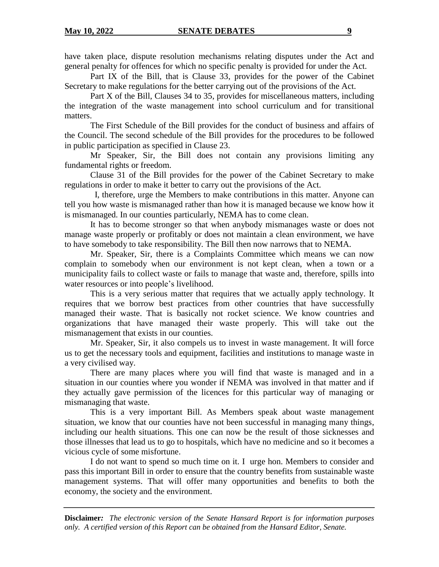have taken place, dispute resolution mechanisms relating disputes under the Act and general penalty for offences for which no specific penalty is provided for under the Act.

Part IX of the Bill, that is Clause 33, provides for the power of the Cabinet Secretary to make regulations for the better carrying out of the provisions of the Act.

Part X of the Bill, Clauses 34 to 35, provides for miscellaneous matters, including the integration of the waste management into school curriculum and for transitional matters.

The First Schedule of the Bill provides for the conduct of business and affairs of the Council. The second schedule of the Bill provides for the procedures to be followed in public participation as specified in Clause 23.

Mr Speaker, Sir, the Bill does not contain any provisions limiting any fundamental rights or freedom.

Clause 31 of the Bill provides for the power of the Cabinet Secretary to make regulations in order to make it better to carry out the provisions of the Act.

 I, therefore, urge the Members to make contributions in this matter. Anyone can tell you how waste is mismanaged rather than how it is managed because we know how it is mismanaged. In our counties particularly, NEMA has to come clean.

It has to become stronger so that when anybody mismanages waste or does not manage waste properly or profitably or does not maintain a clean environment, we have to have somebody to take responsibility. The Bill then now narrows that to NEMA.

Mr. Speaker, Sir, there is a Complaints Committee which means we can now complain to somebody when our environment is not kept clean, when a town or a municipality fails to collect waste or fails to manage that waste and, therefore, spills into water resources or into people's livelihood.

This is a very serious matter that requires that we actually apply technology. It requires that we borrow best practices from other countries that have successfully managed their waste. That is basically not rocket science. We know countries and organizations that have managed their waste properly. This will take out the mismanagement that exists in our counties.

Mr. Speaker, Sir, it also compels us to invest in waste management. It will force us to get the necessary tools and equipment, facilities and institutions to manage waste in a very civilised way.

There are many places where you will find that waste is managed and in a situation in our counties where you wonder if NEMA was involved in that matter and if they actually gave permission of the licences for this particular way of managing or mismanaging that waste.

This is a very important Bill. As Members speak about waste management situation, we know that our counties have not been successful in managing many things, including our health situations. This one can now be the result of those sicknesses and those illnesses that lead us to go to hospitals, which have no medicine and so it becomes a vicious cycle of some misfortune.

I do not want to spend so much time on it. I urge hon. Members to consider and pass this important Bill in order to ensure that the country benefits from sustainable waste management systems. That will offer many opportunities and benefits to both the economy, the society and the environment.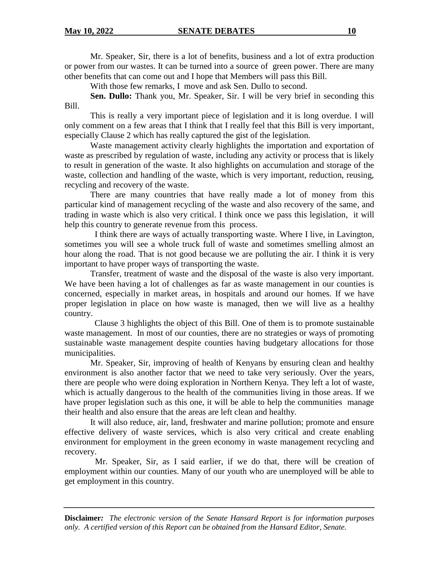Mr. Speaker, Sir, there is a lot of benefits, business and a lot of extra production or power from our wastes. It can be turned into a source of green power. There are many other benefits that can come out and I hope that Members will pass this Bill.

With those few remarks, I move and ask Sen. Dullo to second.

**Sen. Dullo:** Thank you, Mr. Speaker, Sir. I will be very brief in seconding this Bill.

This is really a very important piece of legislation and it is long overdue. I will only comment on a few areas that I think that I really feel that this Bill is very important, especially Clause 2 which has really captured the gist of the legislation.

Waste management activity clearly highlights the importation and exportation of waste as prescribed by regulation of waste, including any activity or process that is likely to result in generation of the waste. It also highlights on accumulation and storage of the waste, collection and handling of the waste, which is very important, reduction, reusing, recycling and recovery of the waste.

There are many countries that have really made a lot of money from this particular kind of management recycling of the waste and also recovery of the same, and trading in waste which is also very critical. I think once we pass this legislation, it will help this country to generate revenue from this process.

I think there are ways of actually transporting waste. Where I live, in Lavington, sometimes you will see a whole truck full of waste and sometimes smelling almost an hour along the road. That is not good because we are polluting the air. I think it is very important to have proper ways of transporting the waste.

Transfer, treatment of waste and the disposal of the waste is also very important. We have been having a lot of challenges as far as waste management in our counties is concerned, especially in market areas, in hospitals and around our homes. If we have proper legislation in place on how waste is managed, then we will live as a healthy country.

Clause 3 highlights the object of this Bill. One of them is to promote sustainable waste management. In most of our counties, there are no strategies or ways of promoting sustainable waste management despite counties having budgetary allocations for those municipalities.

Mr. Speaker, Sir, improving of health of Kenyans by ensuring clean and healthy environment is also another factor that we need to take very seriously. Over the years, there are people who were doing exploration in Northern Kenya. They left a lot of waste, which is actually dangerous to the health of the communities living in those areas. If we have proper legislation such as this one, it will be able to help the communities manage their health and also ensure that the areas are left clean and healthy.

It will also reduce, air, land, freshwater and marine pollution; promote and ensure effective delivery of waste services, which is also very critical and create enabling environment for employment in the green economy in waste management recycling and recovery.

Mr. Speaker, Sir, as I said earlier, if we do that, there will be creation of employment within our counties. Many of our youth who are unemployed will be able to get employment in this country.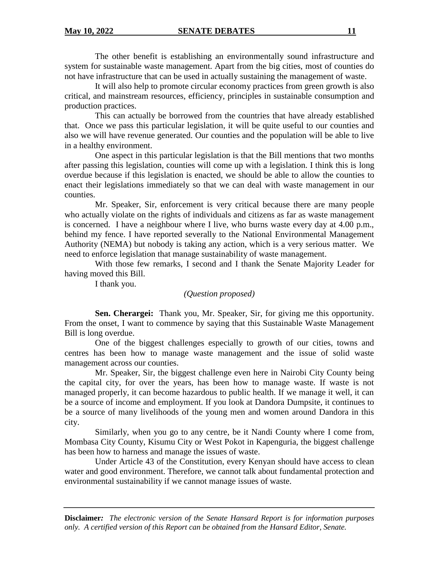The other benefit is establishing an environmentally sound infrastructure and system for sustainable waste management. Apart from the big cities, most of counties do not have infrastructure that can be used in actually sustaining the management of waste.

It will also help to promote circular economy practices from green growth is also critical, and mainstream resources, efficiency, principles in sustainable consumption and production practices.

This can actually be borrowed from the countries that have already established that. Once we pass this particular legislation, it will be quite useful to our counties and also we will have revenue generated. Our counties and the population will be able to live in a healthy environment.

One aspect in this particular legislation is that the Bill mentions that two months after passing this legislation, counties will come up with a legislation. I think this is long overdue because if this legislation is enacted, we should be able to allow the counties to enact their legislations immediately so that we can deal with waste management in our counties.

Mr. Speaker, Sir, enforcement is very critical because there are many people who actually violate on the rights of individuals and citizens as far as waste management is concerned. I have a neighbour where I live, who burns waste every day at 4.00 p.m., behind my fence. I have reported severally to the National Environmental Management Authority (NEMA) but nobody is taking any action, which is a very serious matter. We need to enforce legislation that manage sustainability of waste management.

With those few remarks, I second and I thank the Senate Majority Leader for having moved this Bill.

I thank you.

## *(Question proposed)*

**Sen. Cherargei:** Thank you, Mr. Speaker, Sir, for giving me this opportunity. From the onset, I want to commence by saying that this Sustainable Waste Management Bill is long overdue.

One of the biggest challenges especially to growth of our cities, towns and centres has been how to manage waste management and the issue of solid waste management across our counties.

Mr. Speaker, Sir, the biggest challenge even here in Nairobi City County being the capital city, for over the years, has been how to manage waste. If waste is not managed properly, it can become hazardous to public health. If we manage it well, it can be a source of income and employment. If you look at Dandora Dumpsite, it continues to be a source of many livelihoods of the young men and women around Dandora in this city.

Similarly, when you go to any centre, be it Nandi County where I come from, Mombasa City County, Kisumu City or West Pokot in Kapenguria, the biggest challenge has been how to harness and manage the issues of waste.

Under Article 43 of the Constitution, every Kenyan should have access to clean water and good environment. Therefore, we cannot talk about fundamental protection and environmental sustainability if we cannot manage issues of waste.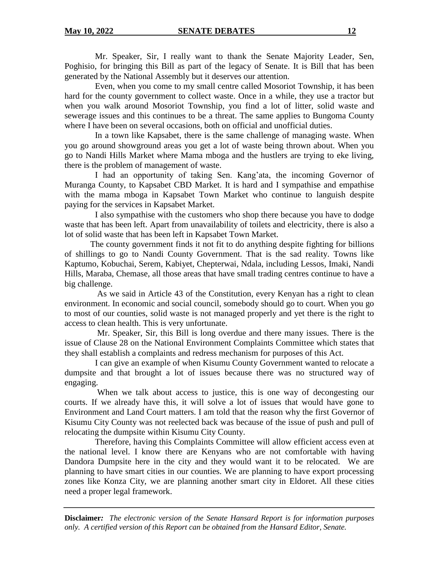Mr. Speaker, Sir, I really want to thank the Senate Majority Leader, Sen, Poghisio, for bringing this Bill as part of the legacy of Senate. It is Bill that has been generated by the National Assembly but it deserves our attention.

Even, when you come to my small centre called Mosoriot Township, it has been hard for the county government to collect waste. Once in a while, they use a tractor but when you walk around Mosoriot Township, you find a lot of litter, solid waste and sewerage issues and this continues to be a threat. The same applies to Bungoma County where I have been on several occasions, both on official and unofficial duties.

In a town like Kapsabet, there is the same challenge of managing waste. When you go around showground areas you get a lot of waste being thrown about. When you go to Nandi Hills Market where Mama mboga and the hustlers are trying to eke living, there is the problem of management of waste.

I had an opportunity of taking Sen. Kang'ata, the incoming Governor of Muranga County, to Kapsabet CBD Market. It is hard and I sympathise and empathise with the mama mboga in Kapsabet Town Market who continue to languish despite paying for the services in Kapsabet Market.

I also sympathise with the customers who shop there because you have to dodge waste that has been left. Apart from unavailability of toilets and electricity, there is also a lot of solid waste that has been left in Kapsabet Town Market.

The county government finds it not fit to do anything despite fighting for billions of shillings to go to Nandi County Government. That is the sad reality. Towns like Kaptumo, Kobuchai, Serem, Kabiyet, Chepterwai, Ndala, including Lessos, Imaki, Nandi Hills, Maraba, Chemase, all those areas that have small trading centres continue to have a big challenge.

As we said in Article 43 of the Constitution, every Kenyan has a right to clean environment. In economic and social council, somebody should go to court. When you go to most of our counties, solid waste is not managed properly and yet there is the right to access to clean health. This is very unfortunate.

Mr. Speaker, Sir, this Bill is long overdue and there many issues. There is the issue of Clause 28 on the National Environment Complaints Committee which states that they shall establish a complaints and redress mechanism for purposes of this Act.

I can give an example of when Kisumu County Government wanted to relocate a dumpsite and that brought a lot of issues because there was no structured way of engaging.

When we talk about access to justice, this is one way of decongesting our courts. If we already have this, it will solve a lot of issues that would have gone to Environment and Land Court matters. I am told that the reason why the first Governor of Kisumu City County was not reelected back was because of the issue of push and pull of relocating the dumpsite within Kisumu City County.

Therefore, having this Complaints Committee will allow efficient access even at the national level. I know there are Kenyans who are not comfortable with having Dandora Dumpsite here in the city and they would want it to be relocated. We are planning to have smart cities in our counties. We are planning to have export processing zones like Konza City, we are planning another smart city in Eldoret. All these cities need a proper legal framework.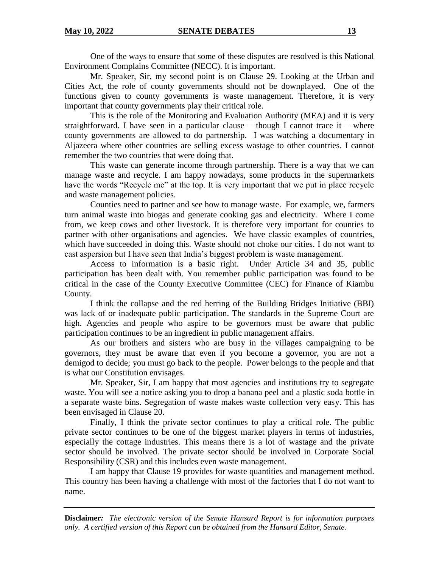One of the ways to ensure that some of these disputes are resolved is this National Environment Complains Committee (NECC). It is important.

Mr. Speaker, Sir, my second point is on Clause 29. Looking at the Urban and Cities Act, the role of county governments should not be downplayed. One of the functions given to county governments is waste management. Therefore, it is very important that county governments play their critical role.

This is the role of the Monitoring and Evaluation Authority (MEA) and it is very straightforward. I have seen in a particular clause – though I cannot trace it – where county governments are allowed to do partnership. I was watching a documentary in Aljazeera where other countries are selling excess wastage to other countries. I cannot remember the two countries that were doing that.

This waste can generate income through partnership. There is a way that we can manage waste and recycle. I am happy nowadays, some products in the supermarkets have the words "Recycle me" at the top. It is very important that we put in place recycle and waste management policies.

Counties need to partner and see how to manage waste. For example, we, farmers turn animal waste into biogas and generate cooking gas and electricity. Where I come from, we keep cows and other livestock. It is therefore very important for counties to partner with other organisations and agencies. We have classic examples of countries, which have succeeded in doing this. Waste should not choke our cities. I do not want to cast aspersion but I have seen that India's biggest problem is waste management.

Access to information is a basic right. Under Article 34 and 35, public participation has been dealt with. You remember public participation was found to be critical in the case of the County Executive Committee (CEC) for Finance of Kiambu County.

I think the collapse and the red herring of the Building Bridges Initiative (BBI) was lack of or inadequate public participation. The standards in the Supreme Court are high. Agencies and people who aspire to be governors must be aware that public participation continues to be an ingredient in public management affairs.

As our brothers and sisters who are busy in the villages campaigning to be governors, they must be aware that even if you become a governor, you are not a demigod to decide; you must go back to the people. Power belongs to the people and that is what our Constitution envisages.

Mr. Speaker, Sir, I am happy that most agencies and institutions try to segregate waste. You will see a notice asking you to drop a banana peel and a plastic soda bottle in a separate waste bins. Segregation of waste makes waste collection very easy. This has been envisaged in Clause 20.

Finally, I think the private sector continues to play a critical role. The public private sector continues to be one of the biggest market players in terms of industries, especially the cottage industries. This means there is a lot of wastage and the private sector should be involved. The private sector should be involved in Corporate Social Responsibility (CSR) and this includes even waste management.

I am happy that Clause 19 provides for waste quantities and management method. This country has been having a challenge with most of the factories that I do not want to name.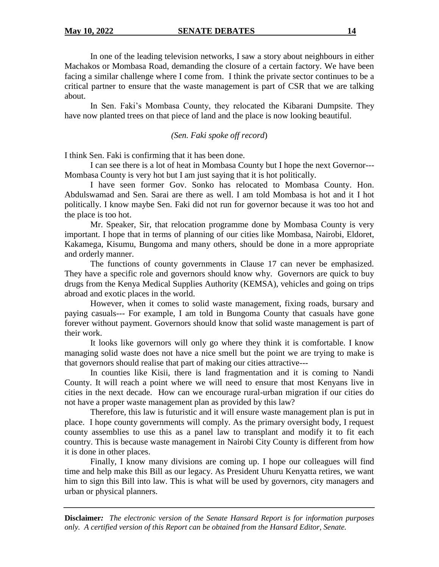In one of the leading television networks, I saw a story about neighbours in either Machakos or Mombasa Road, demanding the closure of a certain factory. We have been facing a similar challenge where I come from. I think the private sector continues to be a critical partner to ensure that the waste management is part of CSR that we are talking about.

In Sen. Faki's Mombasa County, they relocated the Kibarani Dumpsite. They have now planted trees on that piece of land and the place is now looking beautiful.

*(Sen. Faki spoke off record*)

I think Sen. Faki is confirming that it has been done.

I can see there is a lot of heat in Mombasa County but I hope the next Governor--- Mombasa County is very hot but I am just saying that it is hot politically.

I have seen former Gov. Sonko has relocated to Mombasa County. Hon. Abdulswamad and Sen. Sarai are there as well. I am told Mombasa is hot and it I hot politically. I know maybe Sen. Faki did not run for governor because it was too hot and the place is too hot.

Mr. Speaker, Sir, that relocation programme done by Mombasa County is very important. I hope that in terms of planning of our cities like Mombasa, Nairobi, Eldoret, Kakamega, Kisumu, Bungoma and many others, should be done in a more appropriate and orderly manner.

The functions of county governments in Clause 17 can never be emphasized. They have a specific role and governors should know why. Governors are quick to buy drugs from the Kenya Medical Supplies Authority (KEMSA), vehicles and going on trips abroad and exotic places in the world.

However, when it comes to solid waste management, fixing roads, bursary and paying casuals--- For example, I am told in Bungoma County that casuals have gone forever without payment. Governors should know that solid waste management is part of their work.

It looks like governors will only go where they think it is comfortable. I know managing solid waste does not have a nice smell but the point we are trying to make is that governors should realise that part of making our cities attractive---

In counties like Kisii, there is land fragmentation and it is coming to Nandi County. It will reach a point where we will need to ensure that most Kenyans live in cities in the next decade. How can we encourage rural-urban migration if our cities do not have a proper waste management plan as provided by this law?

Therefore, this law is futuristic and it will ensure waste management plan is put in place. I hope county governments will comply. As the primary oversight body, I request county assemblies to use this as a panel law to transplant and modify it to fit each country. This is because waste management in Nairobi City County is different from how it is done in other places.

Finally, I know many divisions are coming up. I hope our colleagues will find time and help make this Bill as our legacy. As President Uhuru Kenyatta retires, we want him to sign this Bill into law. This is what will be used by governors, city managers and urban or physical planners.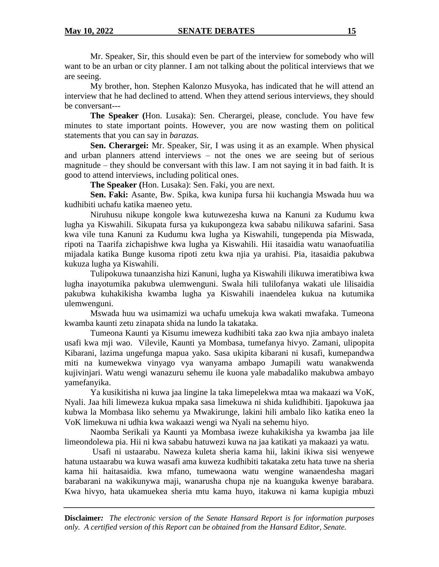Mr. Speaker, Sir, this should even be part of the interview for somebody who will want to be an urban or city planner. I am not talking about the political interviews that we are seeing.

My brother, hon. Stephen Kalonzo Musyoka, has indicated that he will attend an interview that he had declined to attend. When they attend serious interviews, they should be conversant---

**The Speaker (**Hon. Lusaka): Sen. Cherargei, please, conclude. You have few minutes to state important points. However, you are now wasting them on political statements that you can say in *barazas.* 

**Sen. Cherargei:** Mr. Speaker, Sir, I was using it as an example. When physical and urban planners attend interviews – not the ones we are seeing but of serious magnitude – they should be conversant with this law. I am not saying it in bad faith. It is good to attend interviews, including political ones.

**The Speaker (**Hon. Lusaka): Sen. Faki, you are next.

**Sen. Faki:** Asante, Bw. Spika, kwa kunipa fursa hii kuchangia Mswada huu wa kudhibiti uchafu katika maeneo yetu.

Niruhusu nikupe kongole kwa kutuwezesha kuwa na Kanuni za Kudumu kwa lugha ya Kiswahili. Sikupata fursa ya kukupongeza kwa sababu nilikuwa safarini. Sasa kwa vile tuna Kanuni za Kudumu kwa lugha ya Kiswahili, tungependa pia Miswada, ripoti na Taarifa zichapishwe kwa lugha ya Kiswahili. Hii itasaidia watu wanaofuatilia mijadala katika Bunge kusoma ripoti zetu kwa njia ya urahisi. Pia, itasaidia pakubwa kukuza lugha ya Kiswahili.

Tulipokuwa tunaanzisha hizi Kanuni, lugha ya Kiswahili ilikuwa imeratibiwa kwa lugha inayotumika pakubwa ulemwenguni. Swala hili tulilofanya wakati ule lilisaidia pakubwa kuhakikisha kwamba lugha ya Kiswahili inaendelea kukua na kutumika ulemwenguni.

Mswada huu wa usimamizi wa uchafu umekuja kwa wakati mwafaka. Tumeona kwamba kaunti zetu zinapata shida na lundo la takataka.

Tumeona Kaunti ya Kisumu imeweza kudhibiti taka zao kwa njia ambayo inaleta usafi kwa mji wao. Vilevile, Kaunti ya Mombasa, tumefanya hivyo. Zamani, ulipopita Kibarani, lazima ungefunga mapua yako. Sasa ukipita kibarani ni kusafi, kumepandwa miti na kumewekwa vinyago vya wanyama ambapo Jumapili watu wanakwenda kujivinjari. Watu wengi wanazuru sehemu ile kuona yale mabadaliko makubwa ambayo yamefanyika.

Ya kusikitisha ni kuwa jaa lingine la taka limepelekwa mtaa wa makaazi wa VoK, Nyali. Jaa hili limeweza kukua mpaka sasa limekuwa ni shida kulidhibiti. Ijapokuwa jaa kubwa la Mombasa liko sehemu ya Mwakirunge, lakini hili ambalo liko katika eneo la VoK limekuwa ni udhia kwa wakaazi wengi wa Nyali na sehemu hiyo.

Naomba Serikali ya Kaunti ya Mombasa iweze kuhakikisha ya kwamba jaa lile limeondolewa pia. Hii ni kwa sababu hatuwezi kuwa na jaa katikati ya makaazi ya watu.

Usafi ni ustaarabu. Naweza kuleta sheria kama hii, lakini ikiwa sisi wenyewe hatuna ustaarabu wa kuwa wasafi ama kuweza kudhibiti takataka zetu hata tuwe na sheria kama hii haitasaidia. kwa mfano, tumewaona watu wengine wanaendesha magari barabarani na wakikunywa maji, wanarusha chupa nje na kuanguka kwenye barabara. Kwa hivyo, hata ukamuekea sheria mtu kama huyo, itakuwa ni kama kupigia mbuzi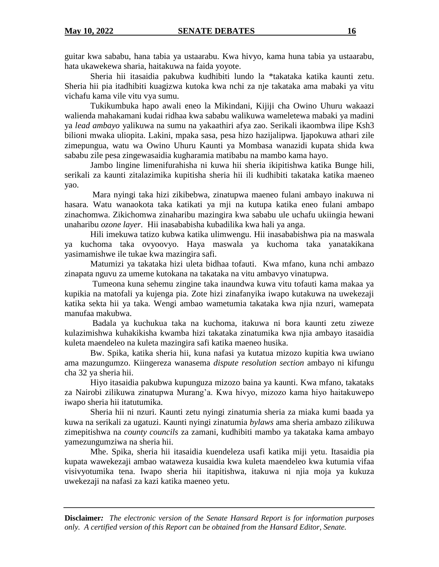guitar kwa sababu, hana tabia ya ustaarabu. Kwa hivyo, kama huna tabia ya ustaarabu, hata ukawekewa sharia, haitakuwa na faida yoyote.

Sheria hii itasaidia pakubwa kudhibiti lundo la \*takataka katika kaunti zetu. Sheria hii pia itadhibiti kuagizwa kutoka kwa nchi za nje takataka ama mabaki ya vitu vichafu kama vile vitu vya sumu.

Tukikumbuka hapo awali eneo la Mikindani, Kijiji cha Owino Uhuru wakaazi walienda mahakamani kudai ridhaa kwa sababu walikuwa wameletewa mabaki ya madini ya *lead ambayo* yalikuwa na sumu na yakaathiri afya zao. Serikali ikaombwa ilipe Ksh3 bilioni mwaka uliopita. Lakini, mpaka sasa, pesa hizo hazijalipwa. Ijapokuwa athari zile zimepungua, watu wa Owino Uhuru Kaunti ya Mombasa wanazidi kupata shida kwa sababu zile pesa zingewasaidia kugharamia matibabu na mambo kama hayo.

Jambo lingine limenifurahisha ni kuwa hii sheria ikipitishwa katika Bunge hili, serikali za kaunti zitalazimika kupitisha sheria hii ili kudhibiti takataka katika maeneo yao.

Mara nyingi taka hizi zikibebwa, zinatupwa maeneo fulani ambayo inakuwa ni hasara. Watu wanaokota taka katikati ya mji na kutupa katika eneo fulani ambapo zinachomwa. Zikichomwa zinaharibu mazingira kwa sababu ule uchafu ukiingia hewani unaharibu *ozone layer.* Hii inasababisha kubadilika kwa hali ya anga.

Hili imekuwa tatizo kubwa katika ulimwengu. Hii inasababishwa pia na maswala ya kuchoma taka ovyoovyo. Haya maswala ya kuchoma taka yanatakikana yasimamishwe ile tukae kwa mazingira safi.

Matumizi ya takataka hizi uleta bidhaa tofauti. Kwa mfano, kuna nchi ambazo zinapata nguvu za umeme kutokana na takataka na vitu ambavyo vinatupwa.

Tumeona kuna sehemu zingine taka inaundwa kuwa vitu tofauti kama makaa ya kupikia na matofali ya kujenga pia. Zote hizi zinafanyika iwapo kutakuwa na uwekezaji katika sekta hii ya taka. Wengi ambao wametumia takataka kwa njia nzuri, wamepata manufaa makubwa.

Badala ya kuchukua taka na kuchoma, itakuwa ni bora kaunti zetu ziweze kulazimishwa kuhakikisha kwamba hizi takataka zinatumika kwa njia ambayo itasaidia kuleta maendeleo na kuleta mazingira safi katika maeneo husika.

Bw. Spika, katika sheria hii, kuna nafasi ya kutatua mizozo kupitia kwa uwiano ama mazungumzo. Kiingereza wanasema *dispute resolution section* ambayo ni kifungu cha 32 ya sheria hii.

Hiyo itasaidia pakubwa kupunguza mizozo baina ya kaunti. Kwa mfano, takataks za Nairobi zilikuwa zinatupwa Murang'a. Kwa hivyo, mizozo kama hiyo haitakuwepo iwapo sheria hii itatutumika.

Sheria hii ni nzuri. Kaunti zetu nyingi zinatumia sheria za miaka kumi baada ya kuwa na serikali za ugatuzi. Kaunti nyingi zinatumia *bylaws* ama sheria ambazo zilikuwa zimepitishwa na *county councils* za zamani, kudhibiti mambo ya takataka kama ambayo yamezungumziwa na sheria hii.

Mhe. Spika, sheria hii itasaidia kuendeleza usafi katika miji yetu. Itasaidia pia kupata wawekezaji ambao wataweza kusaidia kwa kuleta maendeleo kwa kutumia vifaa visivyotumika tena. Iwapo sheria hii itapitishwa, itakuwa ni njia moja ya kukuza uwekezaji na nafasi za kazi katika maeneo yetu.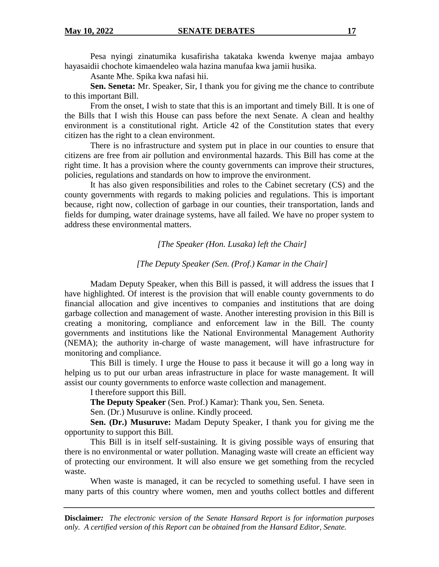Pesa nyingi zinatumika kusafirisha takataka kwenda kwenye majaa ambayo hayasaidii chochote kimaendeleo wala hazina manufaa kwa jamii husika.

Asante Mhe. Spika kwa nafasi hii.

**Sen. Seneta:** Mr. Speaker, Sir, I thank you for giving me the chance to contribute to this important Bill.

From the onset, I wish to state that this is an important and timely Bill. It is one of the Bills that I wish this House can pass before the next Senate. A clean and healthy environment is a constitutional right. Article 42 of the Constitution states that every citizen has the right to a clean environment.

There is no infrastructure and system put in place in our counties to ensure that citizens are free from air pollution and environmental hazards. This Bill has come at the right time. It has a provision where the county governments can improve their structures, policies, regulations and standards on how to improve the environment.

It has also given responsibilities and roles to the Cabinet secretary (CS) and the county governments with regards to making policies and regulations. This is important because, right now, collection of garbage in our counties, their transportation, lands and fields for dumping, water drainage systems, have all failed. We have no proper system to address these environmental matters.

*[The Speaker (Hon. Lusaka) left the Chair]*

*[The Deputy Speaker (Sen. (Prof.) Kamar in the Chair]*

Madam Deputy Speaker, when this Bill is passed, it will address the issues that I have highlighted. Of interest is the provision that will enable county governments to do financial allocation and give incentives to companies and institutions that are doing garbage collection and management of waste. Another interesting provision in this Bill is creating a monitoring, compliance and enforcement law in the Bill. The county governments and institutions like the National Environmental Management Authority (NEMA); the authority in-charge of waste management, will have infrastructure for monitoring and compliance.

This Bill is timely. I urge the House to pass it because it will go a long way in helping us to put our urban areas infrastructure in place for waste management. It will assist our county governments to enforce waste collection and management.

I therefore support this Bill.

**The Deputy Speaker** (Sen. Prof.) Kamar): Thank you, Sen. Seneta.

Sen. (Dr.) Musuruve is online. Kindly proceed.

**Sen. (Dr.) Musuruve:** Madam Deputy Speaker, I thank you for giving me the opportunity to support this Bill.

This Bill is in itself self-sustaining. It is giving possible ways of ensuring that there is no environmental or water pollution. Managing waste will create an efficient way of protecting our environment. It will also ensure we get something from the recycled waste.

When waste is managed, it can be recycled to something useful. I have seen in many parts of this country where women, men and youths collect bottles and different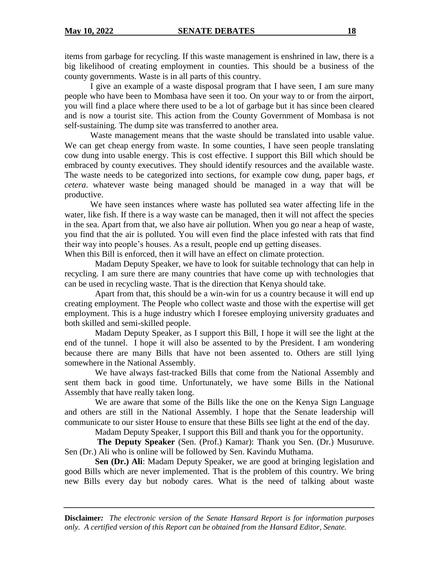items from garbage for recycling. If this waste management is enshrined in law, there is a big likelihood of creating employment in counties. This should be a business of the county governments. Waste is in all parts of this country.

I give an example of a waste disposal program that I have seen, I am sure many people who have been to Mombasa have seen it too. On your way to or from the airport, you will find a place where there used to be a lot of garbage but it has since been cleared and is now a tourist site. This action from the County Government of Mombasa is not self-sustaining. The dump site was transferred to another area.

Waste management means that the waste should be translated into usable value. We can get cheap energy from waste. In some counties, I have seen people translating cow dung into usable energy. This is cost effective. I support this Bill which should be embraced by county executives. They should identify resources and the available waste. The waste needs to be categorized into sections, for example cow dung, paper bags, *et cetera*. whatever waste being managed should be managed in a way that will be productive.

We have seen instances where waste has polluted sea water affecting life in the water, like fish. If there is a way waste can be managed, then it will not affect the species in the sea. Apart from that, we also have air pollution. When you go near a heap of waste, you find that the air is polluted. You will even find the place infested with rats that find their way into people's houses. As a result, people end up getting diseases.

When this Bill is enforced, then it will have an effect on climate protection.

Madam Deputy Speaker, we have to look for suitable technology that can help in recycling. I am sure there are many countries that have come up with technologies that can be used in recycling waste. That is the direction that Kenya should take.

Apart from that, this should be a win-win for us a country because it will end up creating employment. The People who collect waste and those with the expertise will get employment. This is a huge industry which I foresee employing university graduates and both skilled and semi-skilled people.

Madam Deputy Speaker, as I support this Bill, I hope it will see the light at the end of the tunnel. I hope it will also be assented to by the President. I am wondering because there are many Bills that have not been assented to. Others are still lying somewhere in the National Assembly.

We have always fast-tracked Bills that come from the National Assembly and sent them back in good time. Unfortunately, we have some Bills in the National Assembly that have really taken long.

We are aware that some of the Bills like the one on the Kenya Sign Language and others are still in the National Assembly. I hope that the Senate leadership will communicate to our sister House to ensure that these Bills see light at the end of the day.

Madam Deputy Speaker, I support this Bill and thank you for the opportunity.

**The Deputy Speaker** (Sen. (Prof.) Kamar): Thank you Sen. (Dr.) Musuruve. Sen (Dr.) Ali who is online will be followed by Sen. Kavindu Muthama.

**Sen (Dr.) Ali**: Madam Deputy Speaker, we are good at bringing legislation and good Bills which are never implemented. That is the problem of this country. We bring new Bills every day but nobody cares. What is the need of talking about waste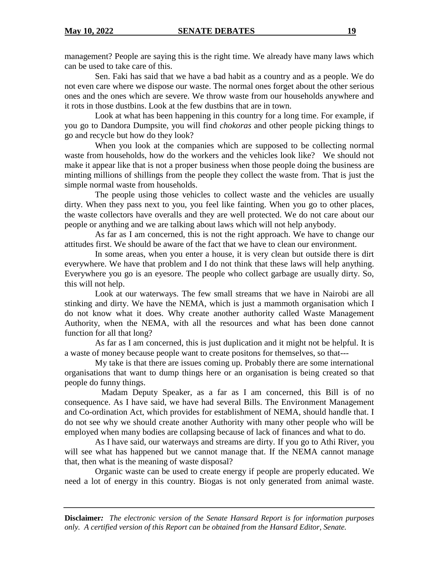management? People are saying this is the right time. We already have many laws which can be used to take care of this.

Sen. Faki has said that we have a bad habit as a country and as a people. We do not even care where we dispose our waste. The normal ones forget about the other serious ones and the ones which are severe. We throw waste from our households anywhere and it rots in those dustbins. Look at the few dustbins that are in town.

Look at what has been happening in this country for a long time. For example, if you go to Dandora Dumpsite, you will find *chokoras* and other people picking things to go and recycle but how do they look?

When you look at the companies which are supposed to be collecting normal waste from households, how do the workers and the vehicles look like? We should not make it appear like that is not a proper business when those people doing the business are minting millions of shillings from the people they collect the waste from. That is just the simple normal waste from households.

The people using those vehicles to collect waste and the vehicles are usually dirty. When they pass next to you, you feel like fainting. When you go to other places, the waste collectors have overalls and they are well protected. We do not care about our people or anything and we are talking about laws which will not help anybody.

As far as I am concerned, this is not the right approach. We have to change our attitudes first. We should be aware of the fact that we have to clean our environment.

In some areas, when you enter a house, it is very clean but outside there is dirt everywhere. We have that problem and I do not think that these laws will help anything. Everywhere you go is an eyesore. The people who collect garbage are usually dirty. So, this will not help.

Look at our waterways. The few small streams that we have in Nairobi are all stinking and dirty. We have the NEMA, which is just a mammoth organisation which I do not know what it does. Why create another authority called Waste Management Authority, when the NEMA, with all the resources and what has been done cannot function for all that long?

As far as I am concerned, this is just duplication and it might not be helpful. It is a waste of money because people want to create positons for themselves, so that---

My take is that there are issues coming up. Probably there are some international organisations that want to dump things here or an organisation is being created so that people do funny things.

 Madam Deputy Speaker, as a far as I am concerned, this Bill is of no consequence. As I have said, we have had several Bills. The Environment Management and Co-ordination Act, which provides for establishment of NEMA, should handle that. I do not see why we should create another Authority with many other people who will be employed when many bodies are collapsing because of lack of finances and what to do.

As I have said, our waterways and streams are dirty. If you go to Athi River, you will see what has happened but we cannot manage that. If the NEMA cannot manage that, then what is the meaning of waste disposal?

Organic waste can be used to create energy if people are properly educated. We need a lot of energy in this country. Biogas is not only generated from animal waste.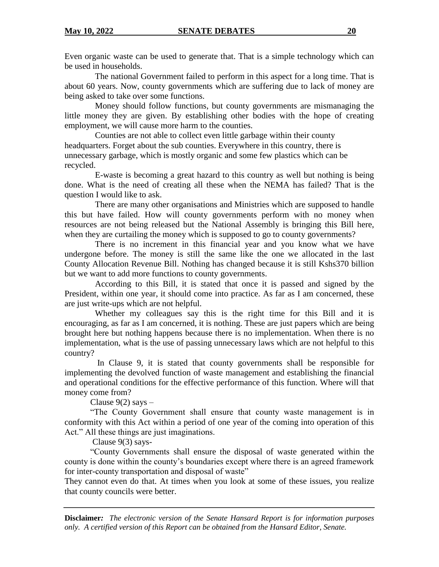Even organic waste can be used to generate that. That is a simple technology which can be used in households.

The national Government failed to perform in this aspect for a long time. That is about 60 years. Now, county governments which are suffering due to lack of money are being asked to take over some functions.

Money should follow functions, but county governments are mismanaging the little money they are given. By establishing other bodies with the hope of creating employment, we will cause more harm to the counties.

Counties are not able to collect even little garbage within their county headquarters. Forget about the sub counties. Everywhere in this country, there is unnecessary garbage, which is mostly organic and some few plastics which can be recycled.

E-waste is becoming a great hazard to this country as well but nothing is being done. What is the need of creating all these when the NEMA has failed? That is the question I would like to ask.

There are many other organisations and Ministries which are supposed to handle this but have failed. How will county governments perform with no money when resources are not being released but the National Assembly is bringing this Bill here, when they are curtailing the money which is supposed to go to county governments?

There is no increment in this financial year and you know what we have undergone before. The money is still the same like the one we allocated in the last County Allocation Revenue Bill. Nothing has changed because it is still Kshs370 billion but we want to add more functions to county governments.

According to this Bill, it is stated that once it is passed and signed by the President, within one year, it should come into practice. As far as I am concerned, these are just write-ups which are not helpful.

Whether my colleagues say this is the right time for this Bill and it is encouraging, as far as I am concerned, it is nothing. These are just papers which are being brought here but nothing happens because there is no implementation. When there is no implementation, what is the use of passing unnecessary laws which are not helpful to this country?

In Clause 9, it is stated that county governments shall be responsible for implementing the devolved function of waste management and establishing the financial and operational conditions for the effective performance of this function. Where will that money come from?

Clause  $9(2)$  says  $-$ 

"The County Government shall ensure that county waste management is in conformity with this Act within a period of one year of the coming into operation of this Act." All these things are just imaginations.

Clause 9(3) says-

"County Governments shall ensure the disposal of waste generated within the county is done within the county's boundaries except where there is an agreed framework for inter-county transportation and disposal of waste"

They cannot even do that. At times when you look at some of these issues, you realize that county councils were better.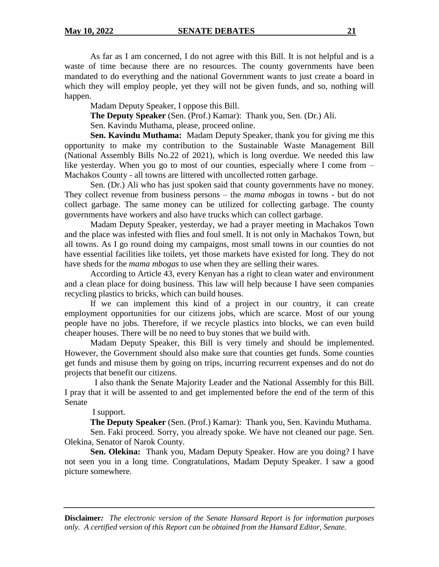As far as I am concerned, I do not agree with this Bill. It is not helpful and is a waste of time because there are no resources. The county governments have been mandated to do everything and the national Government wants to just create a board in which they will employ people, yet they will not be given funds, and so, nothing will happen.

Madam Deputy Speaker, I oppose this Bill.

**The Deputy Speaker** (Sen. (Prof.) Kamar): Thank you, Sen. (Dr.) Ali.

Sen. Kavindu Muthama, please, proceed online.

**Sen. Kavindu Muthama:** Madam Deputy Speaker, thank you for giving me this opportunity to make my contribution to the Sustainable Waste Management Bill (National Assembly Bills No.22 of 2021), which is long overdue. We needed this law like yesterday. When you go to most of our counties, especially where I come from – Machakos County - all towns are littered with uncollected rotten garbage.

Sen. (Dr.) Ali who has just spoken said that county governments have no money. They collect revenue from business persons – the *mama mbogas* in towns - but do not collect garbage. The same money can be utilized for collecting garbage. The county governments have workers and also have trucks which can collect garbage.

Madam Deputy Speaker, yesterday, we had a prayer meeting in Machakos Town and the place was infested with flies and foul smell. It is not only in Machakos Town, but all towns. As I go round doing my campaigns, most small towns in our counties do not have essential facilities like toilets, yet those markets have existed for long. They do not have sheds for the *mama mbogas* to use when they are selling their wares.

According to Article 43, every Kenyan has a right to clean water and environment and a clean place for doing business. This law will help because I have seen companies recycling plastics to bricks, which can build houses.

If we can implement this kind of a project in our country, it can create employment opportunities for our citizens jobs, which are scarce. Most of our young people have no jobs. Therefore, if we recycle plastics into blocks, we can even build cheaper houses. There will be no need to buy stones that we build with.

Madam Deputy Speaker, this Bill is very timely and should be implemented. However, the Government should also make sure that counties get funds. Some counties get funds and misuse them by going on trips, incurring recurrent expenses and do not do projects that benefit our citizens.

 I also thank the Senate Majority Leader and the National Assembly for this Bill. I pray that it will be assented to and get implemented before the end of the term of this Senate

I support.

**The Deputy Speaker** (Sen. (Prof.) Kamar): Thank you, Sen. Kavindu Muthama.

Sen. Faki proceed. Sorry, you already spoke. We have not cleaned our page. Sen. Olekina, Senator of Narok County.

**Sen. Olekina:** Thank you, Madam Deputy Speaker. How are you doing? I have not seen you in a long time. Congratulations, Madam Deputy Speaker. I saw a good picture somewhere.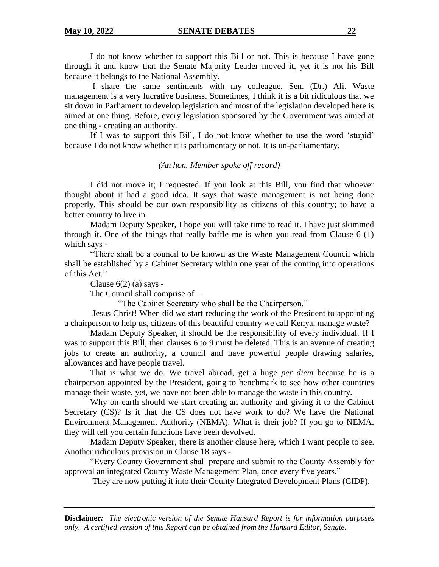I do not know whether to support this Bill or not. This is because I have gone through it and know that the Senate Majority Leader moved it, yet it is not his Bill because it belongs to the National Assembly.

I share the same sentiments with my colleague, Sen. (Dr.) Ali. Waste management is a very lucrative business. Sometimes, I think it is a bit ridiculous that we sit down in Parliament to develop legislation and most of the legislation developed here is aimed at one thing. Before, every legislation sponsored by the Government was aimed at one thing - creating an authority.

If I was to support this Bill, I do not know whether to use the word 'stupid' because I do not know whether it is parliamentary or not. It is un-parliamentary.

#### *(An hon. Member spoke off record)*

I did not move it; I requested. If you look at this Bill, you find that whoever thought about it had a good idea. It says that waste management is not being done properly. This should be our own responsibility as citizens of this country; to have a better country to live in.

Madam Deputy Speaker, I hope you will take time to read it. I have just skimmed through it. One of the things that really baffle me is when you read from Clause 6 (1) which says -

"There shall be a council to be known as the Waste Management Council which shall be established by a Cabinet Secretary within one year of the coming into operations of this Act."

Clause 6(2) (a) says -

The Council shall comprise of –

"The Cabinet Secretary who shall be the Chairperson."

Jesus Christ! When did we start reducing the work of the President to appointing a chairperson to help us, citizens of this beautiful country we call Kenya, manage waste?

Madam Deputy Speaker, it should be the responsibility of every individual. If I was to support this Bill, then clauses 6 to 9 must be deleted. This is an avenue of creating jobs to create an authority, a council and have powerful people drawing salaries, allowances and have people travel.

That is what we do. We travel abroad, get a huge *per diem* because he is a chairperson appointed by the President, going to benchmark to see how other countries manage their waste, yet, we have not been able to manage the waste in this country.

Why on earth should we start creating an authority and giving it to the Cabinet Secretary (CS)? Is it that the CS does not have work to do? We have the National Environment Management Authority (NEMA). What is their job? If you go to NEMA, they will tell you certain functions have been devolved.

Madam Deputy Speaker, there is another clause here, which I want people to see. Another ridiculous provision in Clause 18 says -

"Every County Government shall prepare and submit to the County Assembly for approval an integrated County Waste Management Plan, once every five years."

They are now putting it into their County Integrated Development Plans (CIDP).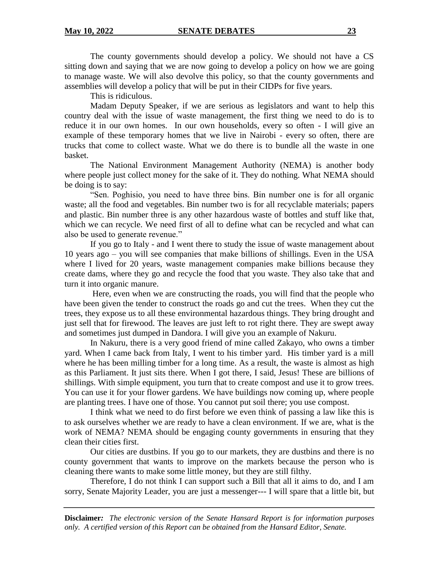The county governments should develop a policy. We should not have a CS sitting down and saying that we are now going to develop a policy on how we are going to manage waste. We will also devolve this policy, so that the county governments and assemblies will develop a policy that will be put in their CIDPs for five years.

This is ridiculous.

Madam Deputy Speaker, if we are serious as legislators and want to help this country deal with the issue of waste management, the first thing we need to do is to reduce it in our own homes. In our own households, every so often - I will give an example of these temporary homes that we live in Nairobi - every so often, there are trucks that come to collect waste. What we do there is to bundle all the waste in one basket.

The National Environment Management Authority (NEMA) is another body where people just collect money for the sake of it. They do nothing. What NEMA should be doing is to say:

"Sen. Poghisio, you need to have three bins. Bin number one is for all organic waste; all the food and vegetables. Bin number two is for all recyclable materials; papers and plastic. Bin number three is any other hazardous waste of bottles and stuff like that, which we can recycle. We need first of all to define what can be recycled and what can also be used to generate revenue."

If you go to Italy - and I went there to study the issue of waste management about 10 years ago – you will see companies that make billions of shillings. Even in the USA where I lived for 20 years, waste management companies make billions because they create dams, where they go and recycle the food that you waste. They also take that and turn it into organic manure.

Here, even when we are constructing the roads, you will find that the people who have been given the tender to construct the roads go and cut the trees. When they cut the trees, they expose us to all these environmental hazardous things. They bring drought and just sell that for firewood. The leaves are just left to rot right there. They are swept away and sometimes just dumped in Dandora. I will give you an example of Nakuru.

In Nakuru, there is a very good friend of mine called Zakayo, who owns a timber yard. When I came back from Italy, I went to his timber yard. His timber yard is a mill where he has been milling timber for a long time. As a result, the waste is almost as high as this Parliament. It just sits there. When I got there, I said, Jesus! These are billions of shillings. With simple equipment, you turn that to create compost and use it to grow trees. You can use it for your flower gardens. We have buildings now coming up, where people are planting trees. I have one of those. You cannot put soil there; you use compost.

I think what we need to do first before we even think of passing a law like this is to ask ourselves whether we are ready to have a clean environment. If we are, what is the work of NEMA? NEMA should be engaging county governments in ensuring that they clean their cities first.

Our cities are dustbins. If you go to our markets, they are dustbins and there is no county government that wants to improve on the markets because the person who is cleaning there wants to make some little money, but they are still filthy.

Therefore, I do not think I can support such a Bill that all it aims to do, and I am sorry, Senate Majority Leader, you are just a messenger--- I will spare that a little bit, but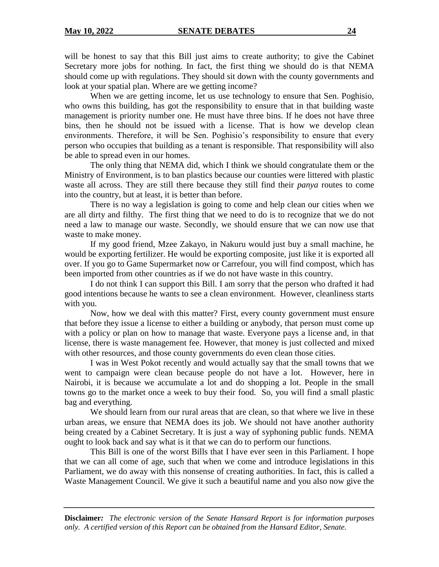will be honest to say that this Bill just aims to create authority; to give the Cabinet Secretary more jobs for nothing. In fact, the first thing we should do is that NEMA should come up with regulations. They should sit down with the county governments and look at your spatial plan. Where are we getting income?

When we are getting income, let us use technology to ensure that Sen. Poghisio, who owns this building, has got the responsibility to ensure that in that building waste management is priority number one. He must have three bins. If he does not have three bins, then he should not be issued with a license. That is how we develop clean environments. Therefore, it will be Sen. Poghisio's responsibility to ensure that every person who occupies that building as a tenant is responsible. That responsibility will also be able to spread even in our homes.

The only thing that NEMA did, which I think we should congratulate them or the Ministry of Environment, is to ban plastics because our counties were littered with plastic waste all across. They are still there because they still find their *panya* routes to come into the country, but at least, it is better than before.

There is no way a legislation is going to come and help clean our cities when we are all dirty and filthy. The first thing that we need to do is to recognize that we do not need a law to manage our waste. Secondly, we should ensure that we can now use that waste to make money.

If my good friend, Mzee Zakayo, in Nakuru would just buy a small machine, he would be exporting fertilizer. He would be exporting composite, just like it is exported all over. If you go to Game Supermarket now or Carrefour, you will find compost, which has been imported from other countries as if we do not have waste in this country.

I do not think I can support this Bill. I am sorry that the person who drafted it had good intentions because he wants to see a clean environment. However, cleanliness starts with you.

Now, how we deal with this matter? First, every county government must ensure that before they issue a license to either a building or anybody, that person must come up with a policy or plan on how to manage that waste. Everyone pays a license and, in that license, there is waste management fee. However, that money is just collected and mixed with other resources, and those county governments do even clean those cities.

I was in West Pokot recently and would actually say that the small towns that we went to campaign were clean because people do not have a lot. However, here in Nairobi, it is because we accumulate a lot and do shopping a lot. People in the small towns go to the market once a week to buy their food. So, you will find a small plastic bag and everything.

We should learn from our rural areas that are clean, so that where we live in these urban areas, we ensure that NEMA does its job. We should not have another authority being created by a Cabinet Secretary. It is just a way of syphoning public funds. NEMA ought to look back and say what is it that we can do to perform our functions.

This Bill is one of the worst Bills that I have ever seen in this Parliament. I hope that we can all come of age, such that when we come and introduce legislations in this Parliament, we do away with this nonsense of creating authorities. In fact, this is called a Waste Management Council. We give it such a beautiful name and you also now give the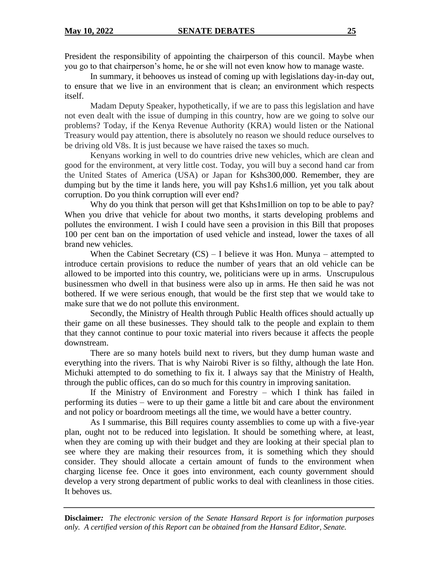President the responsibility of appointing the chairperson of this council. Maybe when you go to that chairperson's home, he or she will not even know how to manage waste.

In summary, it behooves us instead of coming up with legislations day-in-day out, to ensure that we live in an environment that is clean; an environment which respects itself.

Madam Deputy Speaker, hypothetically, if we are to pass this legislation and have not even dealt with the issue of dumping in this country, how are we going to solve our problems? Today, if the Kenya Revenue Authority (KRA) would listen or the National Treasury would pay attention, there is absolutely no reason we should reduce ourselves to be driving old V8s. It is just because we have raised the taxes so much.

Kenyans working in well to do countries drive new vehicles, which are clean and good for the environment, at very little cost. Today, you will buy a second hand car from the United States of America (USA) or Japan for Kshs300,000. Remember, they are dumping but by the time it lands here, you will pay Kshs1.6 million, yet you talk about corruption. Do you think corruption will ever end?

Why do you think that person will get that Kshs1million on top to be able to pay? When you drive that vehicle for about two months, it starts developing problems and pollutes the environment. I wish I could have seen a provision in this Bill that proposes 100 per cent ban on the importation of used vehicle and instead, lower the taxes of all brand new vehicles.

When the Cabinet Secretary  $(CS) - I$  believe it was Hon. Munya – attempted to introduce certain provisions to reduce the number of years that an old vehicle can be allowed to be imported into this country, we, politicians were up in arms. Unscrupulous businessmen who dwell in that business were also up in arms. He then said he was not bothered. If we were serious enough, that would be the first step that we would take to make sure that we do not pollute this environment.

Secondly, the Ministry of Health through Public Health offices should actually up their game on all these businesses. They should talk to the people and explain to them that they cannot continue to pour toxic material into rivers because it affects the people downstream.

There are so many hotels build next to rivers, but they dump human waste and everything into the rivers. That is why Nairobi River is so filthy, although the late Hon. Michuki attempted to do something to fix it. I always say that the Ministry of Health, through the public offices, can do so much for this country in improving sanitation.

If the Ministry of Environment and Forestry – which I think has failed in performing its duties – were to up their game a little bit and care about the environment and not policy or boardroom meetings all the time, we would have a better country.

As I summarise, this Bill requires county assemblies to come up with a five-year plan, ought not to be reduced into legislation. It should be something where, at least, when they are coming up with their budget and they are looking at their special plan to see where they are making their resources from, it is something which they should consider. They should allocate a certain amount of funds to the environment when charging license fee. Once it goes into environment, each county government should develop a very strong department of public works to deal with cleanliness in those cities. It behoves us.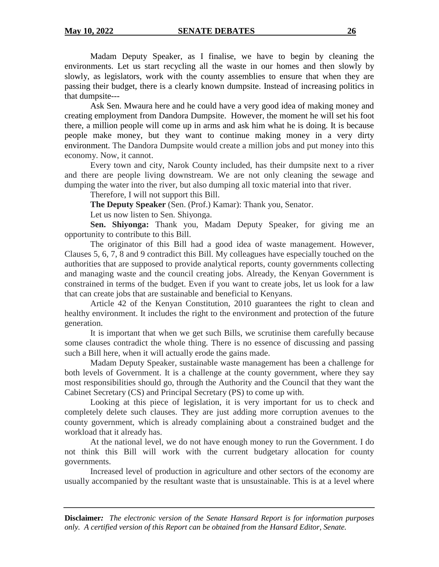Madam Deputy Speaker, as I finalise, we have to begin by cleaning the environments. Let us start recycling all the waste in our homes and then slowly by slowly, as legislators, work with the county assemblies to ensure that when they are passing their budget, there is a clearly known dumpsite. Instead of increasing politics in that dumpsite---

Ask Sen. Mwaura here and he could have a very good idea of making money and creating employment from Dandora Dumpsite. However, the moment he will set his foot there, a million people will come up in arms and ask him what he is doing. It is because people make money, but they want to continue making money in a very dirty environment. The Dandora Dumpsite would create a million jobs and put money into this economy. Now, it cannot.

Every town and city, Narok County included, has their dumpsite next to a river and there are people living downstream. We are not only cleaning the sewage and dumping the water into the river, but also dumping all toxic material into that river.

Therefore, I will not support this Bill.

**The Deputy Speaker** (Sen. (Prof.) Kamar): Thank you, Senator.

Let us now listen to Sen. Shiyonga.

**Sen. Shiyonga:** Thank you, Madam Deputy Speaker, for giving me an opportunity to contribute to this Bill.

The originator of this Bill had a good idea of waste management. However, Clauses 5, 6, 7, 8 and 9 contradict this Bill. My colleagues have especially touched on the authorities that are supposed to provide analytical reports, county governments collecting and managing waste and the council creating jobs. Already, the Kenyan Government is constrained in terms of the budget. Even if you want to create jobs, let us look for a law that can create jobs that are sustainable and beneficial to Kenyans.

Article 42 of the Kenyan Constitution, 2010 guarantees the right to clean and healthy environment. It includes the right to the environment and protection of the future generation.

It is important that when we get such Bills, we scrutinise them carefully because some clauses contradict the whole thing. There is no essence of discussing and passing such a Bill here, when it will actually erode the gains made.

Madam Deputy Speaker, sustainable waste management has been a challenge for both levels of Government. It is a challenge at the county government, where they say most responsibilities should go, through the Authority and the Council that they want the Cabinet Secretary (CS) and Principal Secretary (PS) to come up with.

Looking at this piece of legislation, it is very important for us to check and completely delete such clauses. They are just adding more corruption avenues to the county government, which is already complaining about a constrained budget and the workload that it already has.

At the national level, we do not have enough money to run the Government. I do not think this Bill will work with the current budgetary allocation for county governments.

Increased level of production in agriculture and other sectors of the economy are usually accompanied by the resultant waste that is unsustainable. This is at a level where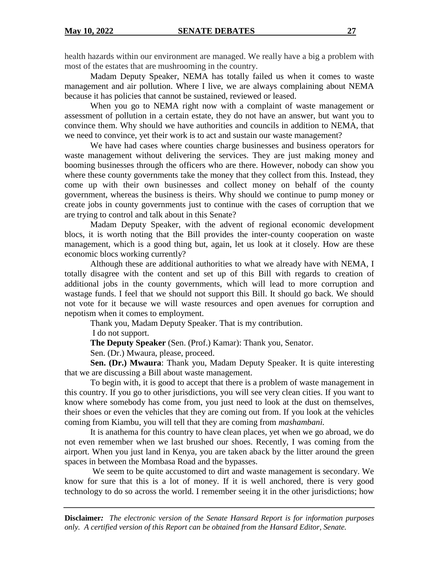health hazards within our environment are managed. We really have a big a problem with most of the estates that are mushrooming in the country.

Madam Deputy Speaker, NEMA has totally failed us when it comes to waste management and air pollution. Where I live, we are always complaining about NEMA because it has policies that cannot be sustained, reviewed or leased.

When you go to NEMA right now with a complaint of waste management or assessment of pollution in a certain estate, they do not have an answer, but want you to convince them. Why should we have authorities and councils in addition to NEMA, that we need to convince, yet their work is to act and sustain our waste management?

We have had cases where counties charge businesses and business operators for waste management without delivering the services. They are just making money and booming businesses through the officers who are there. However, nobody can show you where these county governments take the money that they collect from this. Instead, they come up with their own businesses and collect money on behalf of the county government, whereas the business is theirs. Why should we continue to pump money or create jobs in county governments just to continue with the cases of corruption that we are trying to control and talk about in this Senate?

Madam Deputy Speaker, with the advent of regional economic development blocs, it is worth noting that the Bill provides the inter-county cooperation on waste management, which is a good thing but, again, let us look at it closely. How are these economic blocs working currently?

Although these are additional authorities to what we already have with NEMA, I totally disagree with the content and set up of this Bill with regards to creation of additional jobs in the county governments, which will lead to more corruption and wastage funds. I feel that we should not support this Bill. It should go back. We should not vote for it because we will waste resources and open avenues for corruption and nepotism when it comes to employment.

Thank you, Madam Deputy Speaker. That is my contribution.

I do not support.

**The Deputy Speaker** (Sen. (Prof.) Kamar): Thank you, Senator.

Sen. (Dr.) Mwaura, please, proceed.

**Sen. (Dr.) Mwaura**: Thank you, Madam Deputy Speaker. It is quite interesting that we are discussing a Bill about waste management.

To begin with, it is good to accept that there is a problem of waste management in this country. If you go to other jurisdictions, you will see very clean cities. If you want to know where somebody has come from, you just need to look at the dust on themselves, their shoes or even the vehicles that they are coming out from. If you look at the vehicles coming from Kiambu, you will tell that they are coming from *mashambani.*

It is anathema for this country to have clean places, yet when we go abroad, we do not even remember when we last brushed our shoes. Recently, I was coming from the airport. When you just land in Kenya, you are taken aback by the litter around the green spaces in between the Mombasa Road and the bypasses.

We seem to be quite accustomed to dirt and waste management is secondary. We know for sure that this is a lot of money. If it is well anchored, there is very good technology to do so across the world. I remember seeing it in the other jurisdictions; how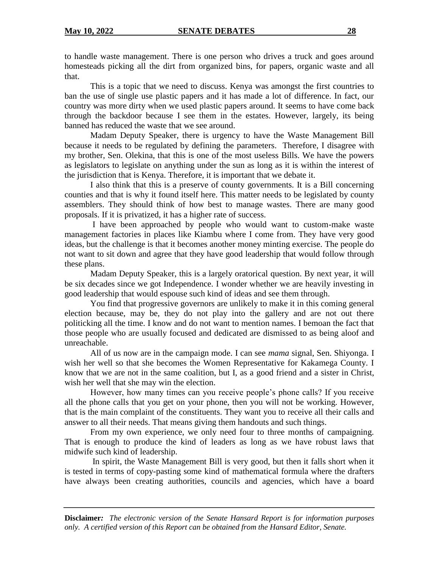to handle waste management. There is one person who drives a truck and goes around homesteads picking all the dirt from organized bins, for papers, organic waste and all that.

This is a topic that we need to discuss. Kenya was amongst the first countries to ban the use of single use plastic papers and it has made a lot of difference. In fact, our country was more dirty when we used plastic papers around. It seems to have come back through the backdoor because I see them in the estates. However, largely, its being banned has reduced the waste that we see around.

Madam Deputy Speaker, there is urgency to have the Waste Management Bill because it needs to be regulated by defining the parameters. Therefore, I disagree with my brother, Sen. Olekina, that this is one of the most useless Bills. We have the powers as legislators to legislate on anything under the sun as long as it is within the interest of the jurisdiction that is Kenya. Therefore, it is important that we debate it.

I also think that this is a preserve of county governments. It is a Bill concerning counties and that is why it found itself here. This matter needs to be legislated by county assemblers. They should think of how best to manage wastes. There are many good proposals. If it is privatized, it has a higher rate of success.

I have been approached by people who would want to custom-make waste management factories in places like Kiambu where I come from. They have very good ideas, but the challenge is that it becomes another money minting exercise. The people do not want to sit down and agree that they have good leadership that would follow through these plans.

Madam Deputy Speaker, this is a largely oratorical question. By next year, it will be six decades since we got Independence. I wonder whether we are heavily investing in good leadership that would espouse such kind of ideas and see them through.

You find that progressive governors are unlikely to make it in this coming general election because, may be, they do not play into the gallery and are not out there politicking all the time. I know and do not want to mention names. I bemoan the fact that those people who are usually focused and dedicated are dismissed to as being aloof and unreachable.

All of us now are in the campaign mode. I can see *mama* signal, Sen. Shiyonga. I wish her well so that she becomes the Women Representative for Kakamega County. I know that we are not in the same coalition, but I, as a good friend and a sister in Christ, wish her well that she may win the election.

However, how many times can you receive people's phone calls? If you receive all the phone calls that you get on your phone, then you will not be working. However, that is the main complaint of the constituents. They want you to receive all their calls and answer to all their needs. That means giving them handouts and such things.

From my own experience, we only need four to three months of campaigning. That is enough to produce the kind of leaders as long as we have robust laws that midwife such kind of leadership.

In spirit, the Waste Management Bill is very good, but then it falls short when it is tested in terms of copy-pasting some kind of mathematical formula where the drafters have always been creating authorities, councils and agencies, which have a board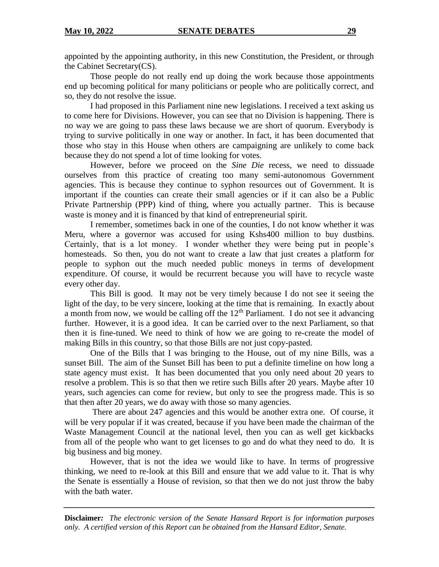appointed by the appointing authority, in this new Constitution, the President, or through the Cabinet Secretary(CS).

Those people do not really end up doing the work because those appointments end up becoming political for many politicians or people who are politically correct, and so, they do not resolve the issue.

I had proposed in this Parliament nine new legislations. I received a text asking us to come here for Divisions. However, you can see that no Division is happening. There is no way we are going to pass these laws because we are short of quorum. Everybody is trying to survive politically in one way or another. In fact, it has been documented that those who stay in this House when others are campaigning are unlikely to come back because they do not spend a lot of time looking for votes.

However, before we proceed on the *Sine Die* recess, we need to dissuade ourselves from this practice of creating too many semi-autonomous Government agencies. This is because they continue to syphon resources out of Government. It is important if the counties can create their small agencies or if it can also be a Public Private Partnership (PPP) kind of thing, where you actually partner. This is because waste is money and it is financed by that kind of entrepreneurial spirit.

I remember, sometimes back in one of the counties, I do not know whether it was Meru, where a governor was accused for using Kshs400 million to buy dustbins. Certainly, that is a lot money. I wonder whether they were being put in people's homesteads. So then, you do not want to create a law that just creates a platform for people to syphon out the much needed public moneys in terms of development expenditure. Of course, it would be recurrent because you will have to recycle waste every other day.

This Bill is good. It may not be very timely because I do not see it seeing the light of the day, to be very sincere, looking at the time that is remaining. In exactly about a month from now, we would be calling off the  $12<sup>th</sup>$  Parliament. I do not see it advancing further. However, it is a good idea. It can be carried over to the next Parliament, so that then it is fine-tuned. We need to think of how we are going to re-create the model of making Bills in this country, so that those Bills are not just copy-pasted.

One of the Bills that I was bringing to the House, out of my nine Bills, was a sunset Bill. The aim of the Sunset Bill has been to put a definite timeline on how long a state agency must exist. It has been documented that you only need about 20 years to resolve a problem. This is so that then we retire such Bills after 20 years. Maybe after 10 years, such agencies can come for review, but only to see the progress made. This is so that then after 20 years, we do away with those so many agencies.

There are about 247 agencies and this would be another extra one. Of course, it will be very popular if it was created, because if you have been made the chairman of the Waste Management Council at the national level, then you can as well get kickbacks from all of the people who want to get licenses to go and do what they need to do. It is big business and big money.

However, that is not the idea we would like to have. In terms of progressive thinking, we need to re-look at this Bill and ensure that we add value to it. That is why the Senate is essentially a House of revision, so that then we do not just throw the baby with the bath water.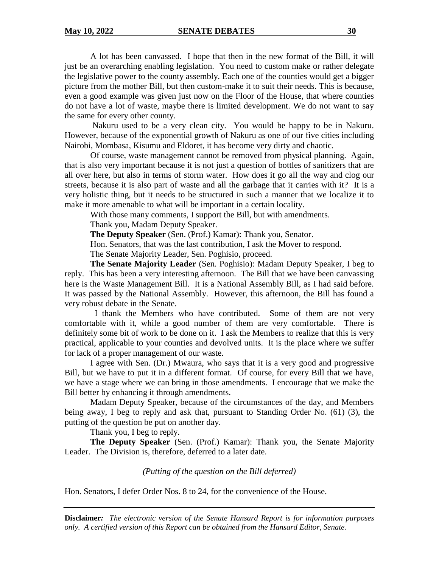#### **May 10, 2022 SENATE DEBATES 30**

A lot has been canvassed. I hope that then in the new format of the Bill, it will just be an overarching enabling legislation. You need to custom make or rather delegate the legislative power to the county assembly. Each one of the counties would get a bigger picture from the mother Bill, but then custom-make it to suit their needs. This is because, even a good example was given just now on the Floor of the House, that where counties do not have a lot of waste, maybe there is limited development. We do not want to say the same for every other county.

Nakuru used to be a very clean city. You would be happy to be in Nakuru. However, because of the exponential growth of Nakuru as one of our five cities including Nairobi, Mombasa, Kisumu and Eldoret, it has become very dirty and chaotic.

Of course, waste management cannot be removed from physical planning. Again, that is also very important because it is not just a question of bottles of sanitizers that are all over here, but also in terms of storm water. How does it go all the way and clog our streets, because it is also part of waste and all the garbage that it carries with it? It is a very holistic thing, but it needs to be structured in such a manner that we localize it to make it more amenable to what will be important in a certain locality.

With those many comments, I support the Bill, but with amendments.

Thank you, Madam Deputy Speaker.

**The Deputy Speaker** (Sen. (Prof.) Kamar): Thank you, Senator.

Hon. Senators, that was the last contribution, I ask the Mover to respond.

The Senate Majority Leader, Sen. Poghisio, proceed.

**The Senate Majority Leader** (Sen. Poghisio): Madam Deputy Speaker, I beg to reply. This has been a very interesting afternoon. The Bill that we have been canvassing here is the Waste Management Bill. It is a National Assembly Bill, as I had said before. It was passed by the National Assembly. However, this afternoon, the Bill has found a very robust debate in the Senate.

 I thank the Members who have contributed. Some of them are not very comfortable with it, while a good number of them are very comfortable. There is definitely some bit of work to be done on it. I ask the Members to realize that this is very practical, applicable to your counties and devolved units. It is the place where we suffer for lack of a proper management of our waste.

I agree with Sen. (Dr.) Mwaura, who says that it is a very good and progressive Bill, but we have to put it in a different format. Of course, for every Bill that we have, we have a stage where we can bring in those amendments. I encourage that we make the Bill better by enhancing it through amendments.

Madam Deputy Speaker, because of the circumstances of the day, and Members being away, I beg to reply and ask that, pursuant to Standing Order No. (61) (3), the putting of the question be put on another day.

Thank you, I beg to reply.

**The Deputy Speaker** (Sen. (Prof.) Kamar): Thank you, the Senate Majority Leader. The Division is, therefore, deferred to a later date.

*(Putting of the question on the Bill deferred)*

Hon. Senators, I defer Order Nos. 8 to 24, for the convenience of the House.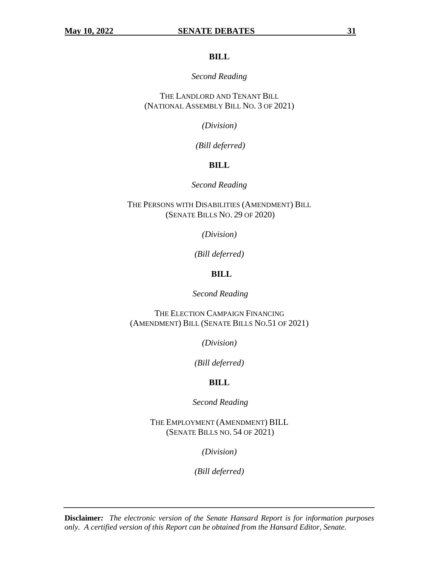### **BILL**

#### *Second Reading*

THE LANDLORD AND TENANT BILL (NATIONAL ASSEMBLY BILL NO. 3 OF 2021)

*(Division)*

*(Bill deferred)*

## **BILL**

## *Second Reading*

THE PERSONS WITH DISABILITIES (AMENDMENT) BILL (SENATE BILLS NO. 29 OF 2020)

*(Division)*

*(Bill deferred)*

## **BILL**

*Second Reading*

THE ELECTION CAMPAIGN FINANCING (AMENDMENT) BILL (SENATE BILLS NO.51 OF 2021)

*(Division)*

*(Bill deferred)*

## **BILL**

*Second Reading*

THE EMPLOYMENT (AMENDMENT) BILL (SENATE BILLS NO. 54 OF 2021)

*(Division)*

*(Bill deferred)*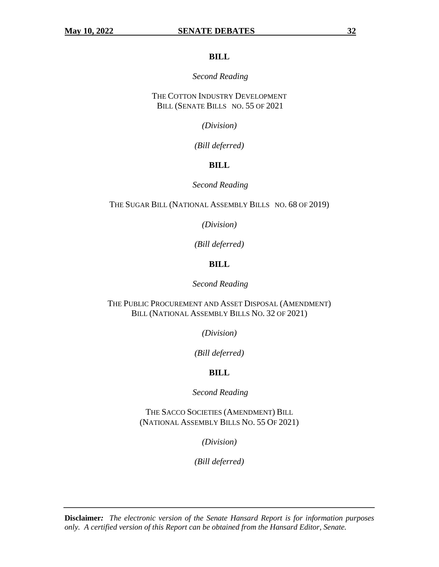#### **BILL**

### *Second Reading*

THE COTTON INDUSTRY DEVELOPMENT BILL (SENATE BILLS NO. 55 OF 2021

*(Division)*

*(Bill deferred)*

## **BILL**

*Second Reading*

THE SUGAR BILL (NATIONAL ASSEMBLY BILLS NO. 68 OF 2019)

*(Division)*

*(Bill deferred)*

## **BILL**

*Second Reading*

THE PUBLIC PROCUREMENT AND ASSET DISPOSAL (AMENDMENT) BILL (NATIONAL ASSEMBLY BILLS NO. 32 OF 2021)

*(Division)*

*(Bill deferred)*

## **BILL**

*Second Reading*

THE SACCO SOCIETIES (AMENDMENT) BILL (NATIONAL ASSEMBLY BILLS NO. 55 OF 2021)

*(Division)*

*(Bill deferred)*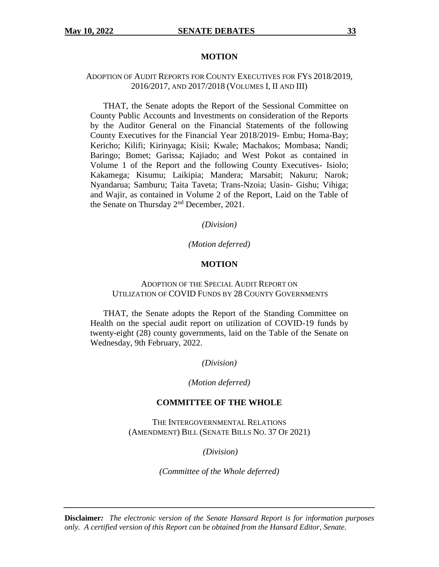#### **MOTION**

### ADOPTION OF AUDIT REPORTS FOR COUNTY EXECUTIVES FOR FYS 2018/2019, 2016/2017, AND 2017/2018 (VOLUMES I, II AND III)

THAT, the Senate adopts the Report of the Sessional Committee on County Public Accounts and Investments on consideration of the Reports by the Auditor General on the Financial Statements of the following County Executives for the Financial Year 2018/2019- Embu; Homa-Bay; Kericho; Kilifi; Kirinyaga; Kisii; Kwale; Machakos; Mombasa; Nandi; Baringo; Bomet; Garissa; Kajiado; and West Pokot as contained in Volume 1 of the Report and the following County Executives- Isiolo; Kakamega; Kisumu; Laikipia; Mandera; Marsabit; Nakuru; Narok; Nyandarua; Samburu; Taita Taveta; Trans-Nzoia; Uasin- Gishu; Vihiga; and Wajir, as contained in Volume 2 of the Report, Laid on the Table of the Senate on Thursday 2<sup>nd</sup> December, 2021.

*(Division)*

#### *(Motion deferred)*

#### **MOTION**

#### ADOPTION OF THE SPECIAL AUDIT REPORT ON UTILIZATION OF COVID FUNDS BY 28 COUNTY GOVERNMENTS

THAT, the Senate adopts the Report of the Standing Committee on Health on the special audit report on utilization of COVID-19 funds by twenty-eight (28) county governments, laid on the Table of the Senate on Wednesday, 9th February, 2022.

*(Division)*

#### *(Motion deferred)*

#### **COMMITTEE OF THE WHOLE**

THE INTERGOVERNMENTAL RELATIONS (AMENDMENT) BILL (SENATE BILLS NO. 37 OF 2021)

*(Division)*

*(Committee of the Whole deferred)*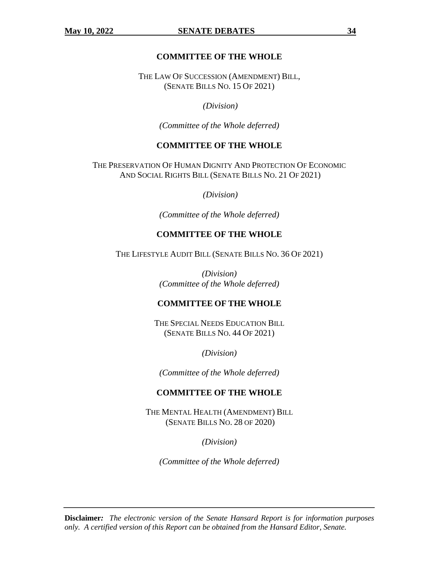## **COMMITTEE OF THE WHOLE**

THE LAW OF SUCCESSION (AMENDMENT) BILL, (SENATE BILLS NO. 15 OF 2021)

*(Division)*

*(Committee of the Whole deferred)*

## **COMMITTEE OF THE WHOLE**

THE PRESERVATION OF HUMAN DIGNITY AND PROTECTION OF ECONOMIC AND SOCIAL RIGHTS BILL (SENATE BILLS NO. 21 OF 2021)

*(Division)*

*(Committee of the Whole deferred)*

### **COMMITTEE OF THE WHOLE**

THE LIFESTYLE AUDIT BILL (SENATE BILLS NO. 36 OF 2021)

*(Division) (Committee of the Whole deferred)*

## **COMMITTEE OF THE WHOLE**

THE SPECIAL NEEDS EDUCATION BILL (SENATE BILLS NO. 44 OF 2021)

*(Division)*

*(Committee of the Whole deferred)*

## **COMMITTEE OF THE WHOLE**

THE MENTAL HEALTH (AMENDMENT) BILL (SENATE BILLS NO. 28 OF 2020)

*(Division)*

*(Committee of the Whole deferred)*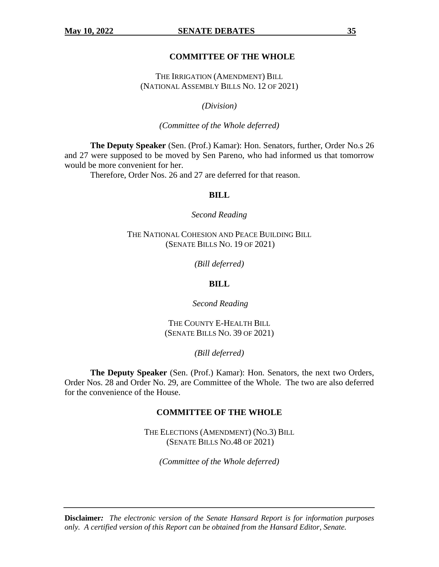#### **May 10, 2022 SENATE DEBATES** 35

#### **COMMITTEE OF THE WHOLE**

THE IRRIGATION (AMENDMENT) BILL (NATIONAL ASSEMBLY BILLS NO. 12 OF 2021)

*(Division)*

*(Committee of the Whole deferred)*

**The Deputy Speaker** (Sen. (Prof.) Kamar): Hon. Senators, further, Order No.s 26 and 27 were supposed to be moved by Sen Pareno, who had informed us that tomorrow would be more convenient for her.

Therefore, Order Nos. 26 and 27 are deferred for that reason.

#### **BILL**

*Second Reading*

THE NATIONAL COHESION AND PEACE BUILDING BILL (SENATE BILLS NO. 19 OF 2021)

*(Bill deferred)*

#### **BILL**

*Second Reading*

THE COUNTY E-HEALTH BILL (SENATE BILLS NO. 39 OF 2021)

*(Bill deferred)*

**The Deputy Speaker** (Sen. (Prof.) Kamar): Hon. Senators, the next two Orders, Order Nos. 28 and Order No. 29, are Committee of the Whole. The two are also deferred for the convenience of the House.

#### **COMMITTEE OF THE WHOLE**

THE ELECTIONS (AMENDMENT) (NO.3) BILL (SENATE BILLS NO.48 OF 2021)

*(Committee of the Whole deferred)*